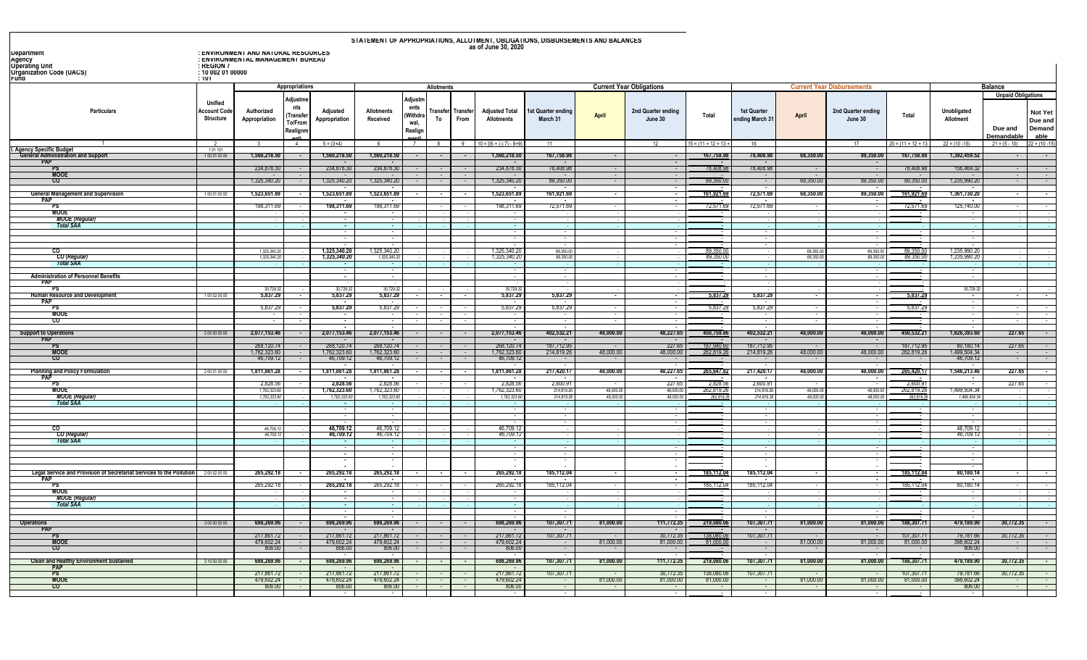| as of June 30, 2020<br>: ENVIRONMENT AND NATURAL RESOURCES<br>Department<br>: ENVIRONMENTAL MANAGEMENT BUREAU<br>Agency<br><b>Uperating Unit</b><br>: KEGIUN /<br><b>Organization Code (UACS)</b><br>: 10 002 01 00000<br>Fund<br>: 101<br>Appropriations<br><b>Current Year Disbursements</b><br>Balance<br><b>Allotments</b><br><b>Current Year Obligations</b><br>Adjustn<br>Adjustme<br><b>Unified</b><br>nts<br>ents<br>Particulars<br>Unobligated<br>Account Code<br>Authorized<br>Adjusted<br><b>Allotments</b><br>Transfer Transfe<br><b>Adjusted Total</b><br>2nd Quarter ending<br>1st Quarter<br>2nd Quarter ending<br>st Quarter ending<br>(Withdra<br><b>April</b><br>Total<br>April<br>Total<br>Transfe)<br>Structure<br>Appropriation<br>Appropriation<br>Received<br>To<br>From<br><b>Allotments</b><br>March 31<br>June 30<br>ending March 3<br>Allotment<br>June 30<br>To/From<br>wal,<br>Due and<br>Realign<br>Realignm<br>Demandable<br>$5 = (3+4)$<br>$10 = 1(6 + (-17) - 8 + 9)$<br>$15 = (11 + 12 + 13)$<br>$20 = (11 + 12 + 13)$<br>$22 = (10 - 15)$<br>$\overline{4}$<br>7<br>9<br>11<br>16<br>17<br>$21 = (5 - 10)$<br><b>T. Agency Specific Budget<br/>General Administration and Support</b><br>101101<br>1,560,218.50<br>1,392,459.52<br>1,560,218.5<br>1,560,218.5<br>1,560,218.50<br>167,758.98<br>167,758.9<br>78,408.98<br>68,350.00<br>89,350.00<br>167,758.98<br>100010000<br><b>PAP</b><br>78,408.98<br>78,408.98<br>78,408.98<br>234,878.3<br>234,878.3<br>234,878.30<br>234,878.30<br>78,408.98<br>156,469.32<br><b>MOOE</b><br>- CO<br>1,325,340.20<br>1,325,340.20<br>1,325,340.20<br>1,325,340.20<br>89,350.00<br>68,350.00<br>89,350.00<br>89,350.00<br>1,235,990.20<br>89,350.0<br><b>State State</b><br>$\sim$ 100 $\mu$<br>$\sim$ 100 $\mu$<br>$\sim$<br>$\sim$ 100 $\mu$<br>$\mathbf{r}$<br>$\sim$ 100 $\sim$<br>$\sim$<br>$\sim$<br>68,350.00<br>89,350.00<br><b>General Management and Supervision</b><br>1,523,651.89<br>1,523,651.89<br>1,523,651.89<br>1,523,651.89<br>161,921.69<br>72,571.69<br>161,921.69<br>1,361,730.20<br>161,921.6<br>100010000<br>$\sim$<br>$\sim$<br>$\sim$<br>PAP<br><b>Service</b><br>$\sim$<br>$\sim$<br>$\sim$<br>$\sim$<br>$\sim$<br>$\sim$ 100 $\mu$<br>$\sim$<br>198,311.69<br>198,311.69<br>125,740.00<br>198,311.69<br>198,311.69<br>72,571.69<br>72,571.6<br>72,571.69<br>72,571.69<br>PS<br><b>MOOE</b><br>$\sim$<br><b>MOOE</b> (Regular)<br><b>Total SAA</b><br>$\sim$<br>$\sim$<br>$\sim$<br>$\overline{\phantom{a}}$<br>1,325,340.20<br>.325,340.20<br>1,325,340.2<br>89.350.0<br>1,235,990.20<br>$_{\rm co}$<br>89 350 C<br>1,325,340.2<br>89,350.0<br>89,350.00<br>68,350.0<br>1,325,340.20<br><b>CO</b> (Regular)<br>1,325,340.2<br>89.350.0<br>1,325,340.2<br>89,350.0<br>89.350.6<br>89,350.0<br>1,235,990.2<br>68,350.<br>1,325,340.20<br><b>Total SAA</b><br>$\sim$<br>$\sim$<br>$\sim$<br><b>Administration of Personnel Benefits</b><br>$\sim$<br>$\sim$<br>$\sim$<br>$\sim$<br>$\sim$<br><b>PAP</b><br>P\$⊺<br>30.729.32<br>30,729.32<br>30.729.32<br>30.729.32<br>30.729.32<br>5,837.29<br>5,837.29<br>5,837.29<br>5,837.29<br>5,837.29<br>5,837.29<br>5,837.29<br>5,837.29<br><b>Human Resource and Development</b><br>100020000<br>Ŧ<br>$\sim$<br>т.<br>Ŧ<br>$\sim$<br><b>PAP</b><br>5,837.29<br>5.837.2<br>5,837.29<br>5,837.29<br>5,837.29<br>5,837.29<br>5,837.29<br>5,837.29<br>PS<br>MOOE<br>-co<br>48,227.65<br>2,077,153.46<br>2,077,153.46<br>2,077,153.46<br>2,077,153.46<br>402,532.21<br>48,000.00<br>402,532.21<br>48,000.00<br>48,000.00<br>450,532.21<br>1,626,393.60<br>450,759.8<br><b>Support to Operations</b><br>200000000<br>$\blacksquare$<br><b>PAP</b><br>$\sim$<br>$\sim$<br>268,120.74<br>268,120.74<br>268,120.74<br>187,712.95<br>227.65<br>187,940.61<br>187,712.95<br>268,120.74<br>187,712.95<br>80,180.14<br>PS<br>$\sim$ 100 $\mu$<br>$\sim$<br>$\sim$<br>48,000.00<br>48,000.00<br><b>MOOE</b><br>1,762,323.60<br>1,762,323.60<br>1,762,323.60<br>1,762,323.60<br>214,819.26<br>48,000.00<br>214,819.26<br>48,000.00<br>262,819.26<br>1,499,504.34<br>262,819.2<br>-co<br>46,709.12<br>46,709.12<br>46,709.12<br>46,709.12<br>46,709.12<br>$\sim$ 100 $\pm$<br>$\sim$ 100 $\mu$<br>$\sim$<br>$\sim$<br>$\sim$<br>$\sim$<br>265,420.17<br>$\sim$<br>217,420.17<br>265,647.8<br>48,000.00<br>48,000.00<br>48,227.65<br>1,811,861.28<br>1,811,861.28<br>1,811,861.28<br>217,420.17<br>48,000.00<br>1,546,213.46<br><b>Planning and Policy Formulation</b><br>1,811,861.28<br>200010000<br>$\blacksquare$<br>$\sim$<br>PAF<br>$\sim$<br>$\sim$<br>$\overline{\phantom{a}}$<br>2,828.56<br>2,828.56<br>227.65<br>2,828.5<br>$2,600.9^{\circ}$<br>2,828.5<br>2,828.56<br>2,600.91<br>2,600.91<br>PS<br><b>MOOE</b><br>62,819.2<br>62,819.2<br>1,499,504.34<br>1,762,323.60<br>1,762,323.6<br>,762,323.60<br>,762,323.6<br>214,819.2<br>48,000.0<br>48,000.00<br>214,819.2<br>48,000.0<br>48,000.00 |                                                                   |
|---------------------------------------------------------------------------------------------------------------------------------------------------------------------------------------------------------------------------------------------------------------------------------------------------------------------------------------------------------------------------------------------------------------------------------------------------------------------------------------------------------------------------------------------------------------------------------------------------------------------------------------------------------------------------------------------------------------------------------------------------------------------------------------------------------------------------------------------------------------------------------------------------------------------------------------------------------------------------------------------------------------------------------------------------------------------------------------------------------------------------------------------------------------------------------------------------------------------------------------------------------------------------------------------------------------------------------------------------------------------------------------------------------------------------------------------------------------------------------------------------------------------------------------------------------------------------------------------------------------------------------------------------------------------------------------------------------------------------------------------------------------------------------------------------------------------------------------------------------------------------------------------------------------------------------------------------------------------------------------------------------------------------------------------------------------------------------------------------------------------------------------------------------------------------------------------------------------------------------------------------------------------------------------------------------------------------------------------------------------------------------------------------------------------------------------------------------------------------------------------------------------------------------------------------------------------------------------------------------------------------------------------------------------------------------------------------------------------------------------------------------------------------------------------------------------------------------------------------------------------------------------------------------------------------------------------------------------------------------------------------------------------------------------------------------------------------------------------------------------------------------------------------------------------------------------------------------------------------------------------------------------------------------------------------------------------------------------------------------------------------------------------------------------------------------------------------------------------------------------------------------------------------------------------------------------------------------------------------------------------------------------------------------------------------------------------------------------------------------------------------------------------------------------------------------------------------------------------------------------------------------------------------------------------------------------------------------------------------------------------------------------------------------------------------------------------------------------------------------------------------------------------------------------------------------------------------------------------------------------------------------------------------------------------------------------------------------------------------------------------------------------------------------------------------------------------------------------------------------------------------------------------------------------------------------------------------------------------------------------------------------------------------------------------------------------------------------------------------------------------------------------------------------------------------------------------------------------------------------------------------------------------------------------------------------------|-------------------------------------------------------------------|
|                                                                                                                                                                                                                                                                                                                                                                                                                                                                                                                                                                                                                                                                                                                                                                                                                                                                                                                                                                                                                                                                                                                                                                                                                                                                                                                                                                                                                                                                                                                                                                                                                                                                                                                                                                                                                                                                                                                                                                                                                                                                                                                                                                                                                                                                                                                                                                                                                                                                                                                                                                                                                                                                                                                                                                                                                                                                                                                                                                                                                                                                                                                                                                                                                                                                                                                                                                                                                                                                                                                                                                                                                                                                                                                                                                                                                                                                                                                                                                                                                                                                                                                                                                                                                                                                                                                                                                                                                                                                                                                                                                                                                                                                                                                                                                                                                                                                                                                                       |                                                                   |
|                                                                                                                                                                                                                                                                                                                                                                                                                                                                                                                                                                                                                                                                                                                                                                                                                                                                                                                                                                                                                                                                                                                                                                                                                                                                                                                                                                                                                                                                                                                                                                                                                                                                                                                                                                                                                                                                                                                                                                                                                                                                                                                                                                                                                                                                                                                                                                                                                                                                                                                                                                                                                                                                                                                                                                                                                                                                                                                                                                                                                                                                                                                                                                                                                                                                                                                                                                                                                                                                                                                                                                                                                                                                                                                                                                                                                                                                                                                                                                                                                                                                                                                                                                                                                                                                                                                                                                                                                                                                                                                                                                                                                                                                                                                                                                                                                                                                                                                                       |                                                                   |
|                                                                                                                                                                                                                                                                                                                                                                                                                                                                                                                                                                                                                                                                                                                                                                                                                                                                                                                                                                                                                                                                                                                                                                                                                                                                                                                                                                                                                                                                                                                                                                                                                                                                                                                                                                                                                                                                                                                                                                                                                                                                                                                                                                                                                                                                                                                                                                                                                                                                                                                                                                                                                                                                                                                                                                                                                                                                                                                                                                                                                                                                                                                                                                                                                                                                                                                                                                                                                                                                                                                                                                                                                                                                                                                                                                                                                                                                                                                                                                                                                                                                                                                                                                                                                                                                                                                                                                                                                                                                                                                                                                                                                                                                                                                                                                                                                                                                                                                                       | <b>Unpaid Obligations</b><br>Not Yet<br>Due and<br>Demand<br>able |
|                                                                                                                                                                                                                                                                                                                                                                                                                                                                                                                                                                                                                                                                                                                                                                                                                                                                                                                                                                                                                                                                                                                                                                                                                                                                                                                                                                                                                                                                                                                                                                                                                                                                                                                                                                                                                                                                                                                                                                                                                                                                                                                                                                                                                                                                                                                                                                                                                                                                                                                                                                                                                                                                                                                                                                                                                                                                                                                                                                                                                                                                                                                                                                                                                                                                                                                                                                                                                                                                                                                                                                                                                                                                                                                                                                                                                                                                                                                                                                                                                                                                                                                                                                                                                                                                                                                                                                                                                                                                                                                                                                                                                                                                                                                                                                                                                                                                                                                                       | $22 = (10 - 1)$                                                   |
|                                                                                                                                                                                                                                                                                                                                                                                                                                                                                                                                                                                                                                                                                                                                                                                                                                                                                                                                                                                                                                                                                                                                                                                                                                                                                                                                                                                                                                                                                                                                                                                                                                                                                                                                                                                                                                                                                                                                                                                                                                                                                                                                                                                                                                                                                                                                                                                                                                                                                                                                                                                                                                                                                                                                                                                                                                                                                                                                                                                                                                                                                                                                                                                                                                                                                                                                                                                                                                                                                                                                                                                                                                                                                                                                                                                                                                                                                                                                                                                                                                                                                                                                                                                                                                                                                                                                                                                                                                                                                                                                                                                                                                                                                                                                                                                                                                                                                                                                       |                                                                   |
|                                                                                                                                                                                                                                                                                                                                                                                                                                                                                                                                                                                                                                                                                                                                                                                                                                                                                                                                                                                                                                                                                                                                                                                                                                                                                                                                                                                                                                                                                                                                                                                                                                                                                                                                                                                                                                                                                                                                                                                                                                                                                                                                                                                                                                                                                                                                                                                                                                                                                                                                                                                                                                                                                                                                                                                                                                                                                                                                                                                                                                                                                                                                                                                                                                                                                                                                                                                                                                                                                                                                                                                                                                                                                                                                                                                                                                                                                                                                                                                                                                                                                                                                                                                                                                                                                                                                                                                                                                                                                                                                                                                                                                                                                                                                                                                                                                                                                                                                       |                                                                   |
|                                                                                                                                                                                                                                                                                                                                                                                                                                                                                                                                                                                                                                                                                                                                                                                                                                                                                                                                                                                                                                                                                                                                                                                                                                                                                                                                                                                                                                                                                                                                                                                                                                                                                                                                                                                                                                                                                                                                                                                                                                                                                                                                                                                                                                                                                                                                                                                                                                                                                                                                                                                                                                                                                                                                                                                                                                                                                                                                                                                                                                                                                                                                                                                                                                                                                                                                                                                                                                                                                                                                                                                                                                                                                                                                                                                                                                                                                                                                                                                                                                                                                                                                                                                                                                                                                                                                                                                                                                                                                                                                                                                                                                                                                                                                                                                                                                                                                                                                       |                                                                   |
|                                                                                                                                                                                                                                                                                                                                                                                                                                                                                                                                                                                                                                                                                                                                                                                                                                                                                                                                                                                                                                                                                                                                                                                                                                                                                                                                                                                                                                                                                                                                                                                                                                                                                                                                                                                                                                                                                                                                                                                                                                                                                                                                                                                                                                                                                                                                                                                                                                                                                                                                                                                                                                                                                                                                                                                                                                                                                                                                                                                                                                                                                                                                                                                                                                                                                                                                                                                                                                                                                                                                                                                                                                                                                                                                                                                                                                                                                                                                                                                                                                                                                                                                                                                                                                                                                                                                                                                                                                                                                                                                                                                                                                                                                                                                                                                                                                                                                                                                       |                                                                   |
|                                                                                                                                                                                                                                                                                                                                                                                                                                                                                                                                                                                                                                                                                                                                                                                                                                                                                                                                                                                                                                                                                                                                                                                                                                                                                                                                                                                                                                                                                                                                                                                                                                                                                                                                                                                                                                                                                                                                                                                                                                                                                                                                                                                                                                                                                                                                                                                                                                                                                                                                                                                                                                                                                                                                                                                                                                                                                                                                                                                                                                                                                                                                                                                                                                                                                                                                                                                                                                                                                                                                                                                                                                                                                                                                                                                                                                                                                                                                                                                                                                                                                                                                                                                                                                                                                                                                                                                                                                                                                                                                                                                                                                                                                                                                                                                                                                                                                                                                       |                                                                   |
|                                                                                                                                                                                                                                                                                                                                                                                                                                                                                                                                                                                                                                                                                                                                                                                                                                                                                                                                                                                                                                                                                                                                                                                                                                                                                                                                                                                                                                                                                                                                                                                                                                                                                                                                                                                                                                                                                                                                                                                                                                                                                                                                                                                                                                                                                                                                                                                                                                                                                                                                                                                                                                                                                                                                                                                                                                                                                                                                                                                                                                                                                                                                                                                                                                                                                                                                                                                                                                                                                                                                                                                                                                                                                                                                                                                                                                                                                                                                                                                                                                                                                                                                                                                                                                                                                                                                                                                                                                                                                                                                                                                                                                                                                                                                                                                                                                                                                                                                       |                                                                   |
|                                                                                                                                                                                                                                                                                                                                                                                                                                                                                                                                                                                                                                                                                                                                                                                                                                                                                                                                                                                                                                                                                                                                                                                                                                                                                                                                                                                                                                                                                                                                                                                                                                                                                                                                                                                                                                                                                                                                                                                                                                                                                                                                                                                                                                                                                                                                                                                                                                                                                                                                                                                                                                                                                                                                                                                                                                                                                                                                                                                                                                                                                                                                                                                                                                                                                                                                                                                                                                                                                                                                                                                                                                                                                                                                                                                                                                                                                                                                                                                                                                                                                                                                                                                                                                                                                                                                                                                                                                                                                                                                                                                                                                                                                                                                                                                                                                                                                                                                       |                                                                   |
|                                                                                                                                                                                                                                                                                                                                                                                                                                                                                                                                                                                                                                                                                                                                                                                                                                                                                                                                                                                                                                                                                                                                                                                                                                                                                                                                                                                                                                                                                                                                                                                                                                                                                                                                                                                                                                                                                                                                                                                                                                                                                                                                                                                                                                                                                                                                                                                                                                                                                                                                                                                                                                                                                                                                                                                                                                                                                                                                                                                                                                                                                                                                                                                                                                                                                                                                                                                                                                                                                                                                                                                                                                                                                                                                                                                                                                                                                                                                                                                                                                                                                                                                                                                                                                                                                                                                                                                                                                                                                                                                                                                                                                                                                                                                                                                                                                                                                                                                       |                                                                   |
|                                                                                                                                                                                                                                                                                                                                                                                                                                                                                                                                                                                                                                                                                                                                                                                                                                                                                                                                                                                                                                                                                                                                                                                                                                                                                                                                                                                                                                                                                                                                                                                                                                                                                                                                                                                                                                                                                                                                                                                                                                                                                                                                                                                                                                                                                                                                                                                                                                                                                                                                                                                                                                                                                                                                                                                                                                                                                                                                                                                                                                                                                                                                                                                                                                                                                                                                                                                                                                                                                                                                                                                                                                                                                                                                                                                                                                                                                                                                                                                                                                                                                                                                                                                                                                                                                                                                                                                                                                                                                                                                                                                                                                                                                                                                                                                                                                                                                                                                       |                                                                   |
|                                                                                                                                                                                                                                                                                                                                                                                                                                                                                                                                                                                                                                                                                                                                                                                                                                                                                                                                                                                                                                                                                                                                                                                                                                                                                                                                                                                                                                                                                                                                                                                                                                                                                                                                                                                                                                                                                                                                                                                                                                                                                                                                                                                                                                                                                                                                                                                                                                                                                                                                                                                                                                                                                                                                                                                                                                                                                                                                                                                                                                                                                                                                                                                                                                                                                                                                                                                                                                                                                                                                                                                                                                                                                                                                                                                                                                                                                                                                                                                                                                                                                                                                                                                                                                                                                                                                                                                                                                                                                                                                                                                                                                                                                                                                                                                                                                                                                                                                       |                                                                   |
|                                                                                                                                                                                                                                                                                                                                                                                                                                                                                                                                                                                                                                                                                                                                                                                                                                                                                                                                                                                                                                                                                                                                                                                                                                                                                                                                                                                                                                                                                                                                                                                                                                                                                                                                                                                                                                                                                                                                                                                                                                                                                                                                                                                                                                                                                                                                                                                                                                                                                                                                                                                                                                                                                                                                                                                                                                                                                                                                                                                                                                                                                                                                                                                                                                                                                                                                                                                                                                                                                                                                                                                                                                                                                                                                                                                                                                                                                                                                                                                                                                                                                                                                                                                                                                                                                                                                                                                                                                                                                                                                                                                                                                                                                                                                                                                                                                                                                                                                       |                                                                   |
|                                                                                                                                                                                                                                                                                                                                                                                                                                                                                                                                                                                                                                                                                                                                                                                                                                                                                                                                                                                                                                                                                                                                                                                                                                                                                                                                                                                                                                                                                                                                                                                                                                                                                                                                                                                                                                                                                                                                                                                                                                                                                                                                                                                                                                                                                                                                                                                                                                                                                                                                                                                                                                                                                                                                                                                                                                                                                                                                                                                                                                                                                                                                                                                                                                                                                                                                                                                                                                                                                                                                                                                                                                                                                                                                                                                                                                                                                                                                                                                                                                                                                                                                                                                                                                                                                                                                                                                                                                                                                                                                                                                                                                                                                                                                                                                                                                                                                                                                       |                                                                   |
|                                                                                                                                                                                                                                                                                                                                                                                                                                                                                                                                                                                                                                                                                                                                                                                                                                                                                                                                                                                                                                                                                                                                                                                                                                                                                                                                                                                                                                                                                                                                                                                                                                                                                                                                                                                                                                                                                                                                                                                                                                                                                                                                                                                                                                                                                                                                                                                                                                                                                                                                                                                                                                                                                                                                                                                                                                                                                                                                                                                                                                                                                                                                                                                                                                                                                                                                                                                                                                                                                                                                                                                                                                                                                                                                                                                                                                                                                                                                                                                                                                                                                                                                                                                                                                                                                                                                                                                                                                                                                                                                                                                                                                                                                                                                                                                                                                                                                                                                       |                                                                   |
|                                                                                                                                                                                                                                                                                                                                                                                                                                                                                                                                                                                                                                                                                                                                                                                                                                                                                                                                                                                                                                                                                                                                                                                                                                                                                                                                                                                                                                                                                                                                                                                                                                                                                                                                                                                                                                                                                                                                                                                                                                                                                                                                                                                                                                                                                                                                                                                                                                                                                                                                                                                                                                                                                                                                                                                                                                                                                                                                                                                                                                                                                                                                                                                                                                                                                                                                                                                                                                                                                                                                                                                                                                                                                                                                                                                                                                                                                                                                                                                                                                                                                                                                                                                                                                                                                                                                                                                                                                                                                                                                                                                                                                                                                                                                                                                                                                                                                                                                       |                                                                   |
|                                                                                                                                                                                                                                                                                                                                                                                                                                                                                                                                                                                                                                                                                                                                                                                                                                                                                                                                                                                                                                                                                                                                                                                                                                                                                                                                                                                                                                                                                                                                                                                                                                                                                                                                                                                                                                                                                                                                                                                                                                                                                                                                                                                                                                                                                                                                                                                                                                                                                                                                                                                                                                                                                                                                                                                                                                                                                                                                                                                                                                                                                                                                                                                                                                                                                                                                                                                                                                                                                                                                                                                                                                                                                                                                                                                                                                                                                                                                                                                                                                                                                                                                                                                                                                                                                                                                                                                                                                                                                                                                                                                                                                                                                                                                                                                                                                                                                                                                       |                                                                   |
|                                                                                                                                                                                                                                                                                                                                                                                                                                                                                                                                                                                                                                                                                                                                                                                                                                                                                                                                                                                                                                                                                                                                                                                                                                                                                                                                                                                                                                                                                                                                                                                                                                                                                                                                                                                                                                                                                                                                                                                                                                                                                                                                                                                                                                                                                                                                                                                                                                                                                                                                                                                                                                                                                                                                                                                                                                                                                                                                                                                                                                                                                                                                                                                                                                                                                                                                                                                                                                                                                                                                                                                                                                                                                                                                                                                                                                                                                                                                                                                                                                                                                                                                                                                                                                                                                                                                                                                                                                                                                                                                                                                                                                                                                                                                                                                                                                                                                                                                       |                                                                   |
|                                                                                                                                                                                                                                                                                                                                                                                                                                                                                                                                                                                                                                                                                                                                                                                                                                                                                                                                                                                                                                                                                                                                                                                                                                                                                                                                                                                                                                                                                                                                                                                                                                                                                                                                                                                                                                                                                                                                                                                                                                                                                                                                                                                                                                                                                                                                                                                                                                                                                                                                                                                                                                                                                                                                                                                                                                                                                                                                                                                                                                                                                                                                                                                                                                                                                                                                                                                                                                                                                                                                                                                                                                                                                                                                                                                                                                                                                                                                                                                                                                                                                                                                                                                                                                                                                                                                                                                                                                                                                                                                                                                                                                                                                                                                                                                                                                                                                                                                       | 227.65                                                            |
|                                                                                                                                                                                                                                                                                                                                                                                                                                                                                                                                                                                                                                                                                                                                                                                                                                                                                                                                                                                                                                                                                                                                                                                                                                                                                                                                                                                                                                                                                                                                                                                                                                                                                                                                                                                                                                                                                                                                                                                                                                                                                                                                                                                                                                                                                                                                                                                                                                                                                                                                                                                                                                                                                                                                                                                                                                                                                                                                                                                                                                                                                                                                                                                                                                                                                                                                                                                                                                                                                                                                                                                                                                                                                                                                                                                                                                                                                                                                                                                                                                                                                                                                                                                                                                                                                                                                                                                                                                                                                                                                                                                                                                                                                                                                                                                                                                                                                                                                       | 227.65                                                            |
|                                                                                                                                                                                                                                                                                                                                                                                                                                                                                                                                                                                                                                                                                                                                                                                                                                                                                                                                                                                                                                                                                                                                                                                                                                                                                                                                                                                                                                                                                                                                                                                                                                                                                                                                                                                                                                                                                                                                                                                                                                                                                                                                                                                                                                                                                                                                                                                                                                                                                                                                                                                                                                                                                                                                                                                                                                                                                                                                                                                                                                                                                                                                                                                                                                                                                                                                                                                                                                                                                                                                                                                                                                                                                                                                                                                                                                                                                                                                                                                                                                                                                                                                                                                                                                                                                                                                                                                                                                                                                                                                                                                                                                                                                                                                                                                                                                                                                                                                       | $\sim$<br>$\sim$                                                  |
|                                                                                                                                                                                                                                                                                                                                                                                                                                                                                                                                                                                                                                                                                                                                                                                                                                                                                                                                                                                                                                                                                                                                                                                                                                                                                                                                                                                                                                                                                                                                                                                                                                                                                                                                                                                                                                                                                                                                                                                                                                                                                                                                                                                                                                                                                                                                                                                                                                                                                                                                                                                                                                                                                                                                                                                                                                                                                                                                                                                                                                                                                                                                                                                                                                                                                                                                                                                                                                                                                                                                                                                                                                                                                                                                                                                                                                                                                                                                                                                                                                                                                                                                                                                                                                                                                                                                                                                                                                                                                                                                                                                                                                                                                                                                                                                                                                                                                                                                       | 227.65                                                            |
|                                                                                                                                                                                                                                                                                                                                                                                                                                                                                                                                                                                                                                                                                                                                                                                                                                                                                                                                                                                                                                                                                                                                                                                                                                                                                                                                                                                                                                                                                                                                                                                                                                                                                                                                                                                                                                                                                                                                                                                                                                                                                                                                                                                                                                                                                                                                                                                                                                                                                                                                                                                                                                                                                                                                                                                                                                                                                                                                                                                                                                                                                                                                                                                                                                                                                                                                                                                                                                                                                                                                                                                                                                                                                                                                                                                                                                                                                                                                                                                                                                                                                                                                                                                                                                                                                                                                                                                                                                                                                                                                                                                                                                                                                                                                                                                                                                                                                                                                       | 227.65                                                            |
| <b>MOOE</b> (Regular)<br>1,762,323.6<br>1,762,323.6<br>1,762,323.6<br>1,762,323.6<br>214,819.2<br>48,000.0<br>48,000.0<br>214,819.2<br>48,000.0<br>48,000.0<br>1,499,504.3<br>262,819.2<br>262,819.2                                                                                                                                                                                                                                                                                                                                                                                                                                                                                                                                                                                                                                                                                                                                                                                                                                                                                                                                                                                                                                                                                                                                                                                                                                                                                                                                                                                                                                                                                                                                                                                                                                                                                                                                                                                                                                                                                                                                                                                                                                                                                                                                                                                                                                                                                                                                                                                                                                                                                                                                                                                                                                                                                                                                                                                                                                                                                                                                                                                                                                                                                                                                                                                                                                                                                                                                                                                                                                                                                                                                                                                                                                                                                                                                                                                                                                                                                                                                                                                                                                                                                                                                                                                                                                                                                                                                                                                                                                                                                                                                                                                                                                                                                                                                  |                                                                   |
| <b>Total SAA</b>                                                                                                                                                                                                                                                                                                                                                                                                                                                                                                                                                                                                                                                                                                                                                                                                                                                                                                                                                                                                                                                                                                                                                                                                                                                                                                                                                                                                                                                                                                                                                                                                                                                                                                                                                                                                                                                                                                                                                                                                                                                                                                                                                                                                                                                                                                                                                                                                                                                                                                                                                                                                                                                                                                                                                                                                                                                                                                                                                                                                                                                                                                                                                                                                                                                                                                                                                                                                                                                                                                                                                                                                                                                                                                                                                                                                                                                                                                                                                                                                                                                                                                                                                                                                                                                                                                                                                                                                                                                                                                                                                                                                                                                                                                                                                                                                                                                                                                                      |                                                                   |
|                                                                                                                                                                                                                                                                                                                                                                                                                                                                                                                                                                                                                                                                                                                                                                                                                                                                                                                                                                                                                                                                                                                                                                                                                                                                                                                                                                                                                                                                                                                                                                                                                                                                                                                                                                                                                                                                                                                                                                                                                                                                                                                                                                                                                                                                                                                                                                                                                                                                                                                                                                                                                                                                                                                                                                                                                                                                                                                                                                                                                                                                                                                                                                                                                                                                                                                                                                                                                                                                                                                                                                                                                                                                                                                                                                                                                                                                                                                                                                                                                                                                                                                                                                                                                                                                                                                                                                                                                                                                                                                                                                                                                                                                                                                                                                                                                                                                                                                                       |                                                                   |
| 46,709.12<br>46,709.12<br>46,709.12<br>-co<br>46,709.12<br>46.709.1                                                                                                                                                                                                                                                                                                                                                                                                                                                                                                                                                                                                                                                                                                                                                                                                                                                                                                                                                                                                                                                                                                                                                                                                                                                                                                                                                                                                                                                                                                                                                                                                                                                                                                                                                                                                                                                                                                                                                                                                                                                                                                                                                                                                                                                                                                                                                                                                                                                                                                                                                                                                                                                                                                                                                                                                                                                                                                                                                                                                                                                                                                                                                                                                                                                                                                                                                                                                                                                                                                                                                                                                                                                                                                                                                                                                                                                                                                                                                                                                                                                                                                                                                                                                                                                                                                                                                                                                                                                                                                                                                                                                                                                                                                                                                                                                                                                                   |                                                                   |
| CO (Regular)<br>46,709.12<br>46,709.12<br>46,709.12<br>46,709.1<br>46,709.1<br><b>Total SAA</b><br>$\sim 100$                                                                                                                                                                                                                                                                                                                                                                                                                                                                                                                                                                                                                                                                                                                                                                                                                                                                                                                                                                                                                                                                                                                                                                                                                                                                                                                                                                                                                                                                                                                                                                                                                                                                                                                                                                                                                                                                                                                                                                                                                                                                                                                                                                                                                                                                                                                                                                                                                                                                                                                                                                                                                                                                                                                                                                                                                                                                                                                                                                                                                                                                                                                                                                                                                                                                                                                                                                                                                                                                                                                                                                                                                                                                                                                                                                                                                                                                                                                                                                                                                                                                                                                                                                                                                                                                                                                                                                                                                                                                                                                                                                                                                                                                                                                                                                                                                         |                                                                   |
| $\sim$<br>$\sim$<br>$\sim$<br>$\sim$<br>$\sim$<br>$\sim$<br>$\sim$<br>$\sim$                                                                                                                                                                                                                                                                                                                                                                                                                                                                                                                                                                                                                                                                                                                                                                                                                                                                                                                                                                                                                                                                                                                                                                                                                                                                                                                                                                                                                                                                                                                                                                                                                                                                                                                                                                                                                                                                                                                                                                                                                                                                                                                                                                                                                                                                                                                                                                                                                                                                                                                                                                                                                                                                                                                                                                                                                                                                                                                                                                                                                                                                                                                                                                                                                                                                                                                                                                                                                                                                                                                                                                                                                                                                                                                                                                                                                                                                                                                                                                                                                                                                                                                                                                                                                                                                                                                                                                                                                                                                                                                                                                                                                                                                                                                                                                                                                                                          |                                                                   |
|                                                                                                                                                                                                                                                                                                                                                                                                                                                                                                                                                                                                                                                                                                                                                                                                                                                                                                                                                                                                                                                                                                                                                                                                                                                                                                                                                                                                                                                                                                                                                                                                                                                                                                                                                                                                                                                                                                                                                                                                                                                                                                                                                                                                                                                                                                                                                                                                                                                                                                                                                                                                                                                                                                                                                                                                                                                                                                                                                                                                                                                                                                                                                                                                                                                                                                                                                                                                                                                                                                                                                                                                                                                                                                                                                                                                                                                                                                                                                                                                                                                                                                                                                                                                                                                                                                                                                                                                                                                                                                                                                                                                                                                                                                                                                                                                                                                                                                                                       |                                                                   |
| 185,112.04<br>185,112.0<br>185,112.04<br>185,112.04<br>80,180.14<br>Legal Service and Provision of Secretariat Services to the Pollution<br>265,292.1<br>265,292.18<br>265,292.18<br>265,292.18<br>200020000                                                                                                                                                                                                                                                                                                                                                                                                                                                                                                                                                                                                                                                                                                                                                                                                                                                                                                                                                                                                                                                                                                                                                                                                                                                                                                                                                                                                                                                                                                                                                                                                                                                                                                                                                                                                                                                                                                                                                                                                                                                                                                                                                                                                                                                                                                                                                                                                                                                                                                                                                                                                                                                                                                                                                                                                                                                                                                                                                                                                                                                                                                                                                                                                                                                                                                                                                                                                                                                                                                                                                                                                                                                                                                                                                                                                                                                                                                                                                                                                                                                                                                                                                                                                                                                                                                                                                                                                                                                                                                                                                                                                                                                                                                                          |                                                                   |
| "PAP"<br>$\sim$<br>265,292.18<br>185,112.04<br>80,180.14<br>265,292.18<br>185,112.0<br>185,112.04<br>185,112.04<br>265,292.1<br>265,292.18                                                                                                                                                                                                                                                                                                                                                                                                                                                                                                                                                                                                                                                                                                                                                                                                                                                                                                                                                                                                                                                                                                                                                                                                                                                                                                                                                                                                                                                                                                                                                                                                                                                                                                                                                                                                                                                                                                                                                                                                                                                                                                                                                                                                                                                                                                                                                                                                                                                                                                                                                                                                                                                                                                                                                                                                                                                                                                                                                                                                                                                                                                                                                                                                                                                                                                                                                                                                                                                                                                                                                                                                                                                                                                                                                                                                                                                                                                                                                                                                                                                                                                                                                                                                                                                                                                                                                                                                                                                                                                                                                                                                                                                                                                                                                                                            |                                                                   |
| <b>MOOE</b><br><b>MOOE</b> (Regular)                                                                                                                                                                                                                                                                                                                                                                                                                                                                                                                                                                                                                                                                                                                                                                                                                                                                                                                                                                                                                                                                                                                                                                                                                                                                                                                                                                                                                                                                                                                                                                                                                                                                                                                                                                                                                                                                                                                                                                                                                                                                                                                                                                                                                                                                                                                                                                                                                                                                                                                                                                                                                                                                                                                                                                                                                                                                                                                                                                                                                                                                                                                                                                                                                                                                                                                                                                                                                                                                                                                                                                                                                                                                                                                                                                                                                                                                                                                                                                                                                                                                                                                                                                                                                                                                                                                                                                                                                                                                                                                                                                                                                                                                                                                                                                                                                                                                                                  |                                                                   |
| <b>Total SAA</b><br>$\sim 10^{-1}$<br>$\sim$                                                                                                                                                                                                                                                                                                                                                                                                                                                                                                                                                                                                                                                                                                                                                                                                                                                                                                                                                                                                                                                                                                                                                                                                                                                                                                                                                                                                                                                                                                                                                                                                                                                                                                                                                                                                                                                                                                                                                                                                                                                                                                                                                                                                                                                                                                                                                                                                                                                                                                                                                                                                                                                                                                                                                                                                                                                                                                                                                                                                                                                                                                                                                                                                                                                                                                                                                                                                                                                                                                                                                                                                                                                                                                                                                                                                                                                                                                                                                                                                                                                                                                                                                                                                                                                                                                                                                                                                                                                                                                                                                                                                                                                                                                                                                                                                                                                                                          |                                                                   |
| $\sim$<br>$\sim$<br>$\sim$                                                                                                                                                                                                                                                                                                                                                                                                                                                                                                                                                                                                                                                                                                                                                                                                                                                                                                                                                                                                                                                                                                                                                                                                                                                                                                                                                                                                                                                                                                                                                                                                                                                                                                                                                                                                                                                                                                                                                                                                                                                                                                                                                                                                                                                                                                                                                                                                                                                                                                                                                                                                                                                                                                                                                                                                                                                                                                                                                                                                                                                                                                                                                                                                                                                                                                                                                                                                                                                                                                                                                                                                                                                                                                                                                                                                                                                                                                                                                                                                                                                                                                                                                                                                                                                                                                                                                                                                                                                                                                                                                                                                                                                                                                                                                                                                                                                                                                            |                                                                   |
| 698,269.96<br><b>Operations</b><br>107,307.71<br>479,189.90<br>300000000<br>698,269.96<br>698,269.96<br>698,269.96<br>81,000.00<br>111,772.35<br>219,080.06<br>107,307.71<br>81,000.00<br>81,000.00<br>188,307.71<br>30,772.35<br><b>State State</b><br><b>State State</b><br><b>PAP</b><br>$\sim$ 100 $\pm$<br>$\sim$ 100 $\pm$<br>$\sim$<br>$\sim$<br>$\sim$<br>$\sim$                                                                                                                                                                                                                                                                                                                                                                                                                                                                                                                                                                                                                                                                                                                                                                                                                                                                                                                                                                                                                                                                                                                                                                                                                                                                                                                                                                                                                                                                                                                                                                                                                                                                                                                                                                                                                                                                                                                                                                                                                                                                                                                                                                                                                                                                                                                                                                                                                                                                                                                                                                                                                                                                                                                                                                                                                                                                                                                                                                                                                                                                                                                                                                                                                                                                                                                                                                                                                                                                                                                                                                                                                                                                                                                                                                                                                                                                                                                                                                                                                                                                                                                                                                                                                                                                                                                                                                                                                                                                                                                                                              |                                                                   |
| $\frac{1}{217,861.72}$<br>217,861.72<br>479,602.24<br>217,861.72<br>479,602.24<br>107,307.71<br>30,772.35<br>217,861.72<br>138,080.06<br>81,000.00<br>107,307.71<br>107,307.71<br>81,000.00<br>79,781.66<br>30,772.35<br>PS<br>$\sim$<br>81,000.00<br>81,000.00<br>81,000.00<br><b>MOOE</b><br>479,602.24<br>479,602.24<br>81,000.00                                                                                                                                                                                                                                                                                                                                                                                                                                                                                                                                                                                                                                                                                                                                                                                                                                                                                                                                                                                                                                                                                                                                                                                                                                                                                                                                                                                                                                                                                                                                                                                                                                                                                                                                                                                                                                                                                                                                                                                                                                                                                                                                                                                                                                                                                                                                                                                                                                                                                                                                                                                                                                                                                                                                                                                                                                                                                                                                                                                                                                                                                                                                                                                                                                                                                                                                                                                                                                                                                                                                                                                                                                                                                                                                                                                                                                                                                                                                                                                                                                                                                                                                                                                                                                                                                                                                                                                                                                                                                                                                                                                                  |                                                                   |
| 398,602.24<br>806.00<br>$\overline{c}$<br>806.00<br>806.00<br>806.00<br>806.00                                                                                                                                                                                                                                                                                                                                                                                                                                                                                                                                                                                                                                                                                                                                                                                                                                                                                                                                                                                                                                                                                                                                                                                                                                                                                                                                                                                                                                                                                                                                                                                                                                                                                                                                                                                                                                                                                                                                                                                                                                                                                                                                                                                                                                                                                                                                                                                                                                                                                                                                                                                                                                                                                                                                                                                                                                                                                                                                                                                                                                                                                                                                                                                                                                                                                                                                                                                                                                                                                                                                                                                                                                                                                                                                                                                                                                                                                                                                                                                                                                                                                                                                                                                                                                                                                                                                                                                                                                                                                                                                                                                                                                                                                                                                                                                                                                                        |                                                                   |
| 107,307.71<br>188,307.71<br>698,269.96<br>698,269.96<br>698,269.96<br>107,307.71<br>81,000.00<br>479,189.90<br><b>Clean and Healthy Environment Sustained</b><br>698,269.96<br>81,000.00<br>111,772.35<br>219,080.06<br>81,000.00<br>30,772.35<br>3 10 00 00 00<br><b>State State</b><br>$\sim$ 100 $\pm$                                                                                                                                                                                                                                                                                                                                                                                                                                                                                                                                                                                                                                                                                                                                                                                                                                                                                                                                                                                                                                                                                                                                                                                                                                                                                                                                                                                                                                                                                                                                                                                                                                                                                                                                                                                                                                                                                                                                                                                                                                                                                                                                                                                                                                                                                                                                                                                                                                                                                                                                                                                                                                                                                                                                                                                                                                                                                                                                                                                                                                                                                                                                                                                                                                                                                                                                                                                                                                                                                                                                                                                                                                                                                                                                                                                                                                                                                                                                                                                                                                                                                                                                                                                                                                                                                                                                                                                                                                                                                                                                                                                                                             |                                                                   |
| PAP<br><b>Contract Contract Contract</b><br>217,861.72<br>217,861.72<br>217,861.72<br>PS<br>217,861.72<br>107,307.71<br>138,080.06<br>107,307.71<br>107,307.71<br>79,781.66<br>30,772.35<br>30,772.35<br><b>Contract Contract</b><br>$\sim$ 100 $\mu$                                                                                                                                                                                                                                                                                                                                                                                                                                                                                                                                                                                                                                                                                                                                                                                                                                                                                                                                                                                                                                                                                                                                                                                                                                                                                                                                                                                                                                                                                                                                                                                                                                                                                                                                                                                                                                                                                                                                                                                                                                                                                                                                                                                                                                                                                                                                                                                                                                                                                                                                                                                                                                                                                                                                                                                                                                                                                                                                                                                                                                                                                                                                                                                                                                                                                                                                                                                                                                                                                                                                                                                                                                                                                                                                                                                                                                                                                                                                                                                                                                                                                                                                                                                                                                                                                                                                                                                                                                                                                                                                                                                                                                                                                 |                                                                   |
| MOOE<br>479,602.24<br>479,602.24<br>479,602.24<br>479,602.24<br>81,000.00<br>81,000.00<br>81,000.00<br>81,000.00<br>81,000.00<br>81,000.00<br>398.602.24<br><b>Contractor</b><br>$\sim$ 100 $\pm$<br>$\sim$ 100 $\sim$<br>$\sim$ 100 $\sim$<br>$\overline{c}$<br>806.00<br>806.00<br>806.00<br>806.00<br>806.00<br><b>Contract</b><br>$\sim$<br>$\sim$<br>$\sim$ 100 $\mu$                                                                                                                                                                                                                                                                                                                                                                                                                                                                                                                                                                                                                                                                                                                                                                                                                                                                                                                                                                                                                                                                                                                                                                                                                                                                                                                                                                                                                                                                                                                                                                                                                                                                                                                                                                                                                                                                                                                                                                                                                                                                                                                                                                                                                                                                                                                                                                                                                                                                                                                                                                                                                                                                                                                                                                                                                                                                                                                                                                                                                                                                                                                                                                                                                                                                                                                                                                                                                                                                                                                                                                                                                                                                                                                                                                                                                                                                                                                                                                                                                                                                                                                                                                                                                                                                                                                                                                                                                                                                                                                                                            |                                                                   |
| $\sim$ $-$<br>$\sim$ $-$<br>$\sim$<br>$\sim$<br>$\sim$                                                                                                                                                                                                                                                                                                                                                                                                                                                                                                                                                                                                                                                                                                                                                                                                                                                                                                                                                                                                                                                                                                                                                                                                                                                                                                                                                                                                                                                                                                                                                                                                                                                                                                                                                                                                                                                                                                                                                                                                                                                                                                                                                                                                                                                                                                                                                                                                                                                                                                                                                                                                                                                                                                                                                                                                                                                                                                                                                                                                                                                                                                                                                                                                                                                                                                                                                                                                                                                                                                                                                                                                                                                                                                                                                                                                                                                                                                                                                                                                                                                                                                                                                                                                                                                                                                                                                                                                                                                                                                                                                                                                                                                                                                                                                                                                                                                                                |                                                                   |

 $\mathbf{I}$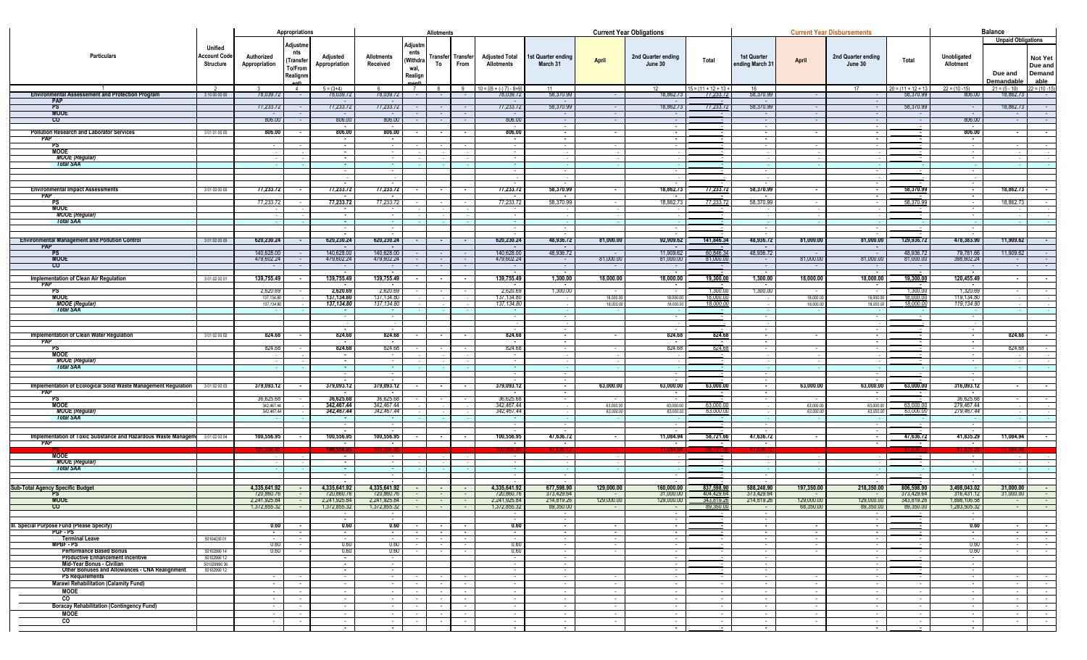|                                                                                 |                                                    | Appropriations               |                                                     |                                        | Allotments                   |                                                |                  |                           |                                            |                               | <b>Current Year Obligations</b> |                               |                                     |                                |                            | <b>Current Year Disbursements</b> |                                    |                             |                                                          |                                             |  |
|---------------------------------------------------------------------------------|----------------------------------------------------|------------------------------|-----------------------------------------------------|----------------------------------------|------------------------------|------------------------------------------------|------------------|---------------------------|--------------------------------------------|-------------------------------|---------------------------------|-------------------------------|-------------------------------------|--------------------------------|----------------------------|-----------------------------------|------------------------------------|-----------------------------|----------------------------------------------------------|---------------------------------------------|--|
| Particulars                                                                     | Unified<br><b>Account Code</b><br><b>Structure</b> | Authorized<br>Appropriation  | Adjustme<br>nts<br>(Transfer<br>To/From<br>Realignm | Adjusted<br>Appropriation              | Allotments<br>Received       | Adjustn<br>ents<br>(Withdra<br>wal,<br>Realign | To               | Transfer Transfer<br>From | <b>Adjusted Total</b><br><b>Allotments</b> | st Quarter ending<br>March 31 | <b>April</b>                    | 2nd Quarter ending<br>June 30 | Total                               | 1st Quarter<br>ending March 31 | April                      | 2nd Quarter ending<br>June 30     | Total                              | Unobligated<br>Allotment    | <b>Unpaid Obligations</b><br>Due and<br><u>Demandabl</u> | <b>Not Yet</b><br>Due and<br>Demand<br>able |  |
| <b>Environmental Assessement and Protection Program</b>                         | 3 10 00 00 00                                      | 78,039.72                    | 4                                                   | $5 = (3+4)$<br>78,039.72               | 78,039.72                    | 7                                              |                  | 9                         | $10 = 1(6 + (-17) - 8 + 9)$<br>78,039.72   | 11<br>58,370.99               |                                 | 12<br>18,862.73               | $15 = (11 + 12 + 13 +$<br>77,233.72 | 16<br>58,370.99                |                            | 17                                | $20 = (11 + 12 + 13)$<br>58,370.99 | $22 = (10 - 15)$<br>806.00  | $21 = (5 - 10)$<br>18,862.73                             | $22 = (10 - 15)$                            |  |
| <b>PAP</b>                                                                      |                                                    |                              |                                                     |                                        |                              |                                                |                  |                           |                                            |                               |                                 |                               |                                     |                                |                            |                                   |                                    |                             |                                                          |                                             |  |
| PS .<br><b>MOOE</b>                                                             |                                                    | 77,233.72                    |                                                     | 77,233.72                              | 77,233.72                    |                                                |                  |                           | 77,233.72                                  | 58,370.99                     |                                 | 18,862.73                     | 77,233.72                           | 58,370.99                      |                            |                                   | 58,370.99                          |                             | 18,862.73                                                | $\sim$ 100 $\pm$                            |  |
| $\mathsf{co}$                                                                   |                                                    | 806.00                       |                                                     | 806.00                                 | 806.00                       |                                                |                  |                           | 806.00                                     |                               |                                 |                               |                                     |                                |                            |                                   |                                    | 806.00                      |                                                          |                                             |  |
|                                                                                 |                                                    |                              |                                                     | $\sim$                                 |                              |                                                |                  |                           |                                            |                               |                                 |                               |                                     |                                |                            |                                   |                                    | 806.00                      |                                                          |                                             |  |
| <b>Pollution Research and Laborator Services</b><br><b>PAP</b>                  | 3 01 01 00 00                                      | 806.00                       |                                                     | 806.00<br>$\sim$                       | 806.00<br>$\sim$ 100 $\sim$  |                                                |                  |                           | 806.00<br>$\sim$                           | $\sim$                        |                                 | $\sim$                        |                                     |                                |                            | $\sim$                            |                                    | $\sim$                      |                                                          |                                             |  |
| PS                                                                              |                                                    |                              |                                                     | $\sim$                                 |                              |                                                |                  |                           |                                            |                               |                                 |                               |                                     |                                |                            |                                   |                                    |                             |                                                          |                                             |  |
| <b>MOOE</b><br>MOOE (Regular)                                                   |                                                    |                              |                                                     | $\sim$<br>$\sim$                       | $\sim$                       |                                                |                  |                           |                                            |                               |                                 |                               |                                     |                                |                            |                                   |                                    |                             |                                                          |                                             |  |
| <b>Total SAA</b>                                                                |                                                    |                              |                                                     |                                        |                              |                                                |                  |                           |                                            |                               |                                 |                               |                                     |                                |                            |                                   |                                    |                             |                                                          |                                             |  |
|                                                                                 |                                                    |                              |                                                     |                                        |                              |                                                |                  |                           |                                            |                               |                                 |                               |                                     |                                |                            |                                   |                                    |                             |                                                          |                                             |  |
|                                                                                 |                                                    |                              |                                                     |                                        |                              |                                                |                  |                           |                                            |                               |                                 |                               |                                     |                                |                            |                                   |                                    |                             |                                                          |                                             |  |
| <b>Environmental Impact Assessments</b>                                         | 301030000                                          | 77,233.72                    |                                                     | 77,233.72                              | 77,233.72                    |                                                |                  |                           | 77,233.72                                  | 58,370.99                     |                                 | 18,862.73                     | 77,233.72                           | 58,370.99                      |                            |                                   | 58,370.99                          |                             | 18,862.73                                                |                                             |  |
| <b>PAP</b><br>PS                                                                |                                                    | 77,233.72                    |                                                     | 77,233.72                              | 77,233.72                    |                                                |                  |                           | 77,233.72                                  | 58,370.99                     |                                 | 18,862.73                     | 77,233.7                            | 58,370.99                      |                            |                                   | 58.370.99                          |                             | 18,862.73                                                |                                             |  |
| <b>MOOE</b>                                                                     |                                                    |                              |                                                     |                                        |                              |                                                |                  |                           |                                            |                               |                                 |                               |                                     |                                |                            |                                   |                                    |                             |                                                          |                                             |  |
| MOOE (Regular)                                                                  |                                                    |                              |                                                     | $\sim$                                 |                              |                                                |                  |                           |                                            |                               |                                 |                               |                                     |                                |                            |                                   |                                    |                             |                                                          |                                             |  |
| <b>Total SAA</b>                                                                |                                                    |                              |                                                     | <b>Contract</b>                        | <b>Contract</b><br>$\sim$    |                                                |                  |                           | $\sim$<br>$\sim$                           | $\sim$                        |                                 |                               |                                     |                                |                            |                                   |                                    |                             |                                                          |                                             |  |
|                                                                                 |                                                    |                              |                                                     | $\sim$                                 | $\sim$                       |                                                |                  |                           | $\sim$                                     |                               |                                 |                               |                                     |                                |                            |                                   |                                    |                             |                                                          |                                             |  |
| <b>Environmental Management and Pollution Control</b><br><b>PAP</b>             | 3 01 02 00 00                                      | 620,230.24                   |                                                     | 620,230.24<br>$\sim$                   | 620,230.24<br>$\sim$         |                                                |                  | $\sim$                    | 620,230.24<br>$\sim$                       | 48,936.72<br>$\sim$           | 81,000.00                       | 92,909.62<br>$\sim$ $-$       | 141,846.34                          | 48,936.72<br>$\sim$            | 81,000.00                  | 81,000.00                         | 129,936.72                         | 478,383.90                  | 11,909.62                                                | <b>Contract Contract</b>                    |  |
| PS .                                                                            |                                                    | 140,628.00                   |                                                     | 140,628.00                             | 140,628.00                   |                                                |                  |                           | 140,628.00                                 | 48,936.72                     |                                 | 11,909.62                     | 60,846.34                           | 48,936.72                      |                            |                                   | 48,936.72                          | 79,781.66                   | 11,909.62                                                |                                             |  |
| <b>MOOE</b><br>$\mathbf{c}$                                                     |                                                    | 479,602.24                   |                                                     | 479,602.24                             | 479,602.24                   |                                                |                  |                           | 479,602.24                                 |                               | 81,000.00                       | 81,000.00                     | 81,000.0                            |                                | 81,000.00                  | 81,000.00                         | 81,000.00                          | 398,602.24                  |                                                          |                                             |  |
|                                                                                 |                                                    |                              |                                                     |                                        |                              |                                                |                  |                           |                                            |                               |                                 |                               |                                     |                                |                            |                                   |                                    |                             |                                                          |                                             |  |
| Implementation of Clean Air Regulation<br><b>PAP</b>                            | 3 01 02 00 01                                      | 139,755.49                   |                                                     | 139,755.49                             | 139,755.49                   |                                                |                  |                           | 139,755.49                                 | 1,300.00                      | 18,000.00                       | 18,000.00                     | 19,300.0                            | 1,300.00                       | 18,000.00                  | 18,000.00                         | 19,300.00                          | 120,455.49                  |                                                          |                                             |  |
| PS.                                                                             |                                                    | 2,620.69                     |                                                     | 2,620.69                               | 2,620.69                     |                                                |                  |                           | 2,620.69                                   | 1,300.00                      |                                 |                               | 1,300.0                             | 1,300.00                       |                            |                                   | 1.300.0                            | 1,320.69                    |                                                          |                                             |  |
| MOOE<br>MOOE (Regular)                                                          |                                                    | 137,134.80<br>137,134.80     |                                                     | 137,134.80<br>137,134.80               | 137,134.80<br>137,134.80     |                                                |                  |                           | 137,134.80<br>137,134.80                   |                               | 18,000.00<br>18,000.00          | 18,000.00<br>18,000.00        | 18.000.0<br>18,000.0                |                                | 18,000.00<br>18,000.00     | 18,000.0<br>18,000.0              | 18.000.0<br>18,000.0               | 119,134.80<br>119,134.80    |                                                          |                                             |  |
| <b>Total SAA</b>                                                                |                                                    |                              |                                                     | <b>Contract</b>                        | $\sim$                       |                                                |                  |                           | $\sim$                                     |                               |                                 |                               |                                     |                                |                            |                                   |                                    |                             |                                                          |                                             |  |
|                                                                                 |                                                    |                              |                                                     |                                        |                              |                                                |                  |                           |                                            |                               |                                 |                               |                                     |                                |                            |                                   |                                    |                             |                                                          |                                             |  |
|                                                                                 |                                                    |                              |                                                     |                                        |                              |                                                |                  |                           |                                            |                               |                                 |                               |                                     |                                |                            |                                   |                                    |                             |                                                          |                                             |  |
| Implementation of Clean Water Regulation                                        | 3 01 02 00 02                                      | 824.68                       |                                                     | 824.68                                 | 824.68                       |                                                |                  |                           | 824.68                                     |                               |                                 | 824.68                        | 824.68                              |                                |                            |                                   |                                    |                             | 824.68                                                   |                                             |  |
| <b>PAP</b><br>PS                                                                |                                                    | 824.68                       |                                                     | $\sim$<br>824.68                       | $\sim$<br>824.68             |                                                |                  |                           | 824.68                                     |                               |                                 | 824.68                        | 824.68                              |                                |                            |                                   |                                    |                             | 824.68                                                   |                                             |  |
| <b>MOOE</b>                                                                     |                                                    |                              |                                                     | $\sim$                                 |                              |                                                |                  |                           |                                            |                               |                                 |                               |                                     |                                |                            |                                   |                                    |                             |                                                          |                                             |  |
| <b>MOOE</b> (Regular)<br><b>Total SAA</b>                                       |                                                    |                              |                                                     | $\sim$<br>$\sim$                       | $\sim$                       |                                                |                  |                           |                                            |                               |                                 |                               |                                     |                                |                            |                                   |                                    |                             |                                                          |                                             |  |
|                                                                                 |                                                    |                              |                                                     |                                        |                              |                                                |                  |                           |                                            |                               |                                 |                               |                                     |                                |                            |                                   |                                    |                             |                                                          |                                             |  |
|                                                                                 |                                                    |                              |                                                     | $\sim$                                 |                              |                                                |                  |                           |                                            | $\sim$                        |                                 |                               |                                     |                                |                            | 63,000.00                         |                                    | 316,093.12                  |                                                          |                                             |  |
| Implementation of Ecological Solid Waste Management Regulation 301020003<br>PAP |                                                    | 379,093.12                   |                                                     | 379,093.12<br><b>Contract Contract</b> | 379,093.12<br>$\sim$         |                                                |                  | $\sim$                    | 379,093.12<br>$\sim$ 100 $\sim$            | $\sim$<br>$\sim$              | 63,000.00                       | 63,000.00<br>$\sim$           | 63,000.00                           | $\sim$<br>$\sim$               | 63,000.00                  | $\sim$                            | 63,000.00                          | <b>Contract Contract</b>    |                                                          | <b>Contract</b>                             |  |
| PS .                                                                            |                                                    | 36,625.68                    |                                                     | 36,625.68                              | 36,625.68                    |                                                |                  |                           | 36,625.68                                  |                               |                                 | $\sim$                        |                                     |                                | $\sim$                     | $\sim$                            |                                    | 36,625.68                   |                                                          | $\sim$                                      |  |
| <b>MOOE</b>                                                                     |                                                    | 342,467.44<br>342,467.44     |                                                     | 342,467.44<br>342,467.44               | 342,467.44<br>342,467.44     |                                                |                  |                           | 342,467.44<br>342,467.44                   |                               | 63,000.00<br>63,000.00          | 63,000.0<br>63,000.           | 63,000.00<br>63,000.0               |                                | 63,000.00<br>63,000.0      | 63,000.0<br>63,000.0              | 63,000.00<br>53.000.0              | 279,467.44<br>279,467.44    |                                                          |                                             |  |
| MOOE (Regular)<br>Total SAA                                                     |                                                    |                              |                                                     |                                        |                              |                                                |                  |                           |                                            |                               |                                 |                               |                                     |                                |                            |                                   |                                    |                             |                                                          |                                             |  |
|                                                                                 |                                                    |                              |                                                     |                                        |                              |                                                |                  |                           |                                            |                               |                                 |                               |                                     |                                |                            |                                   |                                    |                             |                                                          |                                             |  |
| Implementation of Toxic Substance and Hazardous Waste Managem                   | 301020004                                          | 100,556.95                   |                                                     | 100,556.95                             | 100,556.95                   |                                                |                  |                           | 100,556.95                                 | 47,636.72                     |                                 | 11,084.94                     | 58,721.66                           | 47,636.72                      |                            |                                   | 47,636.72                          | 41,835.29                   | 11,084.94                                                |                                             |  |
|                                                                                 |                                                    |                              |                                                     |                                        |                              |                                                |                  |                           |                                            |                               |                                 |                               |                                     |                                |                            |                                   |                                    |                             |                                                          |                                             |  |
| <b>MOOE</b>                                                                     |                                                    |                              |                                                     | $\sim$                                 |                              |                                                |                  |                           |                                            |                               |                                 |                               |                                     |                                |                            |                                   |                                    |                             |                                                          |                                             |  |
| <b>MOOE (Regular)</b><br><b>Total SAA</b>                                       |                                                    |                              |                                                     | $\sim$<br>$\sim$                       | $\sim$<br>$\sim$             |                                                |                  |                           |                                            |                               |                                 |                               |                                     |                                |                            |                                   |                                    |                             |                                                          |                                             |  |
|                                                                                 |                                                    |                              |                                                     |                                        |                              |                                                |                  |                           |                                            | $\sim$                        |                                 |                               |                                     |                                |                            |                                   |                                    |                             |                                                          |                                             |  |
| Sub-Total Agency Specific Budget                                                |                                                    | 4,335,641.92                 |                                                     | 4,335,641.92                           | 4,335,641.92                 |                                                |                  |                           | 4,335,641.92                               | 677,598.90                    | 129,000.00                      | 160,000.00                    | 837,598.90                          | 588,248.90                     | 197,350.00                 | 218,350.00                        | 806,598.90                         | 3,498,043.02                | 31,000.00                                                |                                             |  |
| PS                                                                              |                                                    | 720,860.76                   |                                                     | 720,860.76                             | 720,860.76                   |                                                |                  |                           | 720,860.76                                 | 373,429.64                    |                                 | 31,000.00                     | 404,429.64                          | 373,429.64                     |                            |                                   | 373,429.64                         | 316,431.12                  | 31,000.00                                                |                                             |  |
| <b>MOOE</b><br>$\overline{c}$                                                   |                                                    | 2,241,925.84<br>1,372,855.32 |                                                     | 2,241,925.84<br>1,372,855.32           | 2,241,925.84<br>1,372,855.32 |                                                |                  |                           | 2,241,925.84<br>1,372,855.32               | 214,819.26<br>89,350.00       | 129,000.00                      | 129,000.0                     | 343,819.26<br>89,350.0              | 214,819.26                     | 129,000.0<br>68,350.00     | 129,000.0<br>89,350.00            | 343,819.26<br>89,350.00            | 1,898,106.5<br>1,283,505.32 |                                                          |                                             |  |
|                                                                                 |                                                    |                              |                                                     |                                        |                              |                                                |                  |                           |                                            |                               |                                 |                               |                                     |                                |                            |                                   |                                    |                             |                                                          |                                             |  |
| III. Special Purpose Fund (Please Specify)                                      |                                                    | 0.60                         |                                                     | $\sim$<br>0.60                         | 0.60                         |                                                |                  |                           | 0.60                                       | $\sim$                        |                                 | $\sim$                        |                                     |                                |                            | $\sim$                            |                                    | 0.60                        |                                                          | <b>Contract</b>                             |  |
| PGF-PS                                                                          |                                                    | $\sim$                       | $\sim$                                              | $\sim$                                 | $\sim$ $-$                   |                                                | $\sim$           | $\sim$ 100 $\mu$          | $\sim$                                     | $\sim$                        | $\sim$                          | $\sim$                        |                                     | $\sim$                         | $\sim$                     | $\sim$                            |                                    | $\sim$                      | $\sim$                                                   | <b>Contract</b>                             |  |
| <b>Terminal Leave</b><br>MPBF - PS                                              | 50104030 01                                        | $\sim$<br>0.60               | $\sim$                                              | $\sim$ $-$<br>0.60                     | $\sim$ $\sim$<br>0.60        |                                                | $\sim$ 100 $\mu$ | $\sim$<br>$\sim$          | $\sim$ 100 $\mu$<br>0.60                   | $\sim$ 100 $\pm$<br>$\sim$    | $\sim$<br>$\sim$                | $\sim$<br>$\sim$              |                                     | $\sim$<br>$\sim$               | $\sim$ 100 $\pm$<br>$\sim$ | $\sim$<br>$\sim$                  |                                    | $\sim$ $-$<br>0.60          | $\sim$<br>$\sim$                                         | <b>Contract</b>                             |  |
| <b>Performance Based Bonus</b>                                                  | 50102990 14                                        | 0.60                         | $\sim$                                              | 0.60                                   | 0.60                         | $\sim$                                         | $\sim$           | $\sim$                    | 0.60                                       | $\sim$                        | $\sim$                          | $\sim$                        |                                     | $\sim$                         | $\sim$                     | $\sim$                            |                                    | 0.60                        | $\sim$ $-$                                               | $\sim$ $\sim$<br><b>Contract</b>            |  |
| <b>Productive Enhancement Incentive</b><br>Mid-Year Bonus - Civilian            | 50102990 12<br>50102999036                         |                              |                                                     | $\sim$                                 | $\sim$                       |                                                |                  |                           | $\sim$                                     | $\sim$                        |                                 | $\sim$                        |                                     | $\sim$                         |                            | $\sim$                            |                                    | $\sim$                      |                                                          |                                             |  |
| Other Bonuses and Allowances - CNA Realignment                                  | 50102990 12                                        |                              |                                                     | $\sim$<br>$\sim$                       | $\sim$                       |                                                |                  |                           | $\sim$                                     | $\sim$<br>$\sim$              |                                 | $\sim$                        |                                     | $\sim$                         |                            | $\sim$                            |                                    | $\sim$<br>$\sim$            |                                                          |                                             |  |
| <b>PS Requirements</b>                                                          |                                                    |                              |                                                     |                                        |                              |                                                |                  |                           |                                            |                               |                                 |                               |                                     |                                |                            |                                   |                                    |                             |                                                          | <b>Sec. 1</b>                               |  |
| <b>Marawi Rehabilitation (Calamity Fund)</b><br><b>MOOE</b>                     |                                                    | $\sim$<br>$\sim$             | $\sim$                                              | $\sim$<br>$\sim$                       | $\sim$                       |                                                | $\sim$           | $\sim$<br>$\sim$          | $\sim$<br>$\sim$                           | $\sim$<br>$\sim$              | $\sim$<br>$\sim$                | . —<br>$\sim$                 | $\sim$<br>$\sim$                    | $\sim$<br>$\sim$               | $\sim$<br>$\sim$           | $\sim$<br>$\sim$                  | $\sim$                             | $\sim$<br>$\sim$            | $\sim$                                                   | <b>Contract</b><br><b>Contract</b>          |  |
| $\overline{c}$                                                                  |                                                    |                              |                                                     |                                        |                              |                                                |                  | $\sim$                    |                                            | $\sim$                        | $\sim$                          |                               | $\sim$                              |                                | $\sim$                     |                                   |                                    | $\sim$                      |                                                          | <b>Contract</b>                             |  |
| <b>Boracay Rehabilitation (Contingency Fund)</b>                                |                                                    | $\sim$                       | ٠.                                                  | $\sim$                                 | $\sim$                       |                                                | . .              | $\sim$                    | $\sim$                                     | $\sim$                        | $\sim$ $-$                      | $\sim$                        | $\sim$                              | $\sim$                         | $\sim$                     | $\sim$                            | $\sim$                             | $\sim$                      | $\sim$                                                   | <b>Contract</b>                             |  |
| MOOE                                                                            |                                                    | $\sim$                       | $\sim$                                              | $\sim$                                 | $\sim$                       | $\sim$                                         | $\sim$           | $\sim$                    | $\sim$                                     | $\sim$                        | $\sim$ 10 $\pm$                 | $\sim$                        | $\sim$                              | $\sim$                         | $\sim$                     | $\sim$                            | $\sim$                             | $\sim$                      | $\sim$                                                   | <b>Contract</b>                             |  |
| $\overline{\text{c}}$                                                           |                                                    |                              |                                                     | $\sim$                                 |                              |                                                |                  |                           |                                            | $\sim$                        |                                 |                               | $\sim$                              |                                | $\sim$                     |                                   |                                    | $\sim$                      | $\sim$                                                   | $\sim 100$                                  |  |
|                                                                                 |                                                    |                              |                                                     |                                        |                              |                                                |                  |                           |                                            |                               |                                 |                               |                                     |                                |                            |                                   |                                    |                             |                                                          |                                             |  |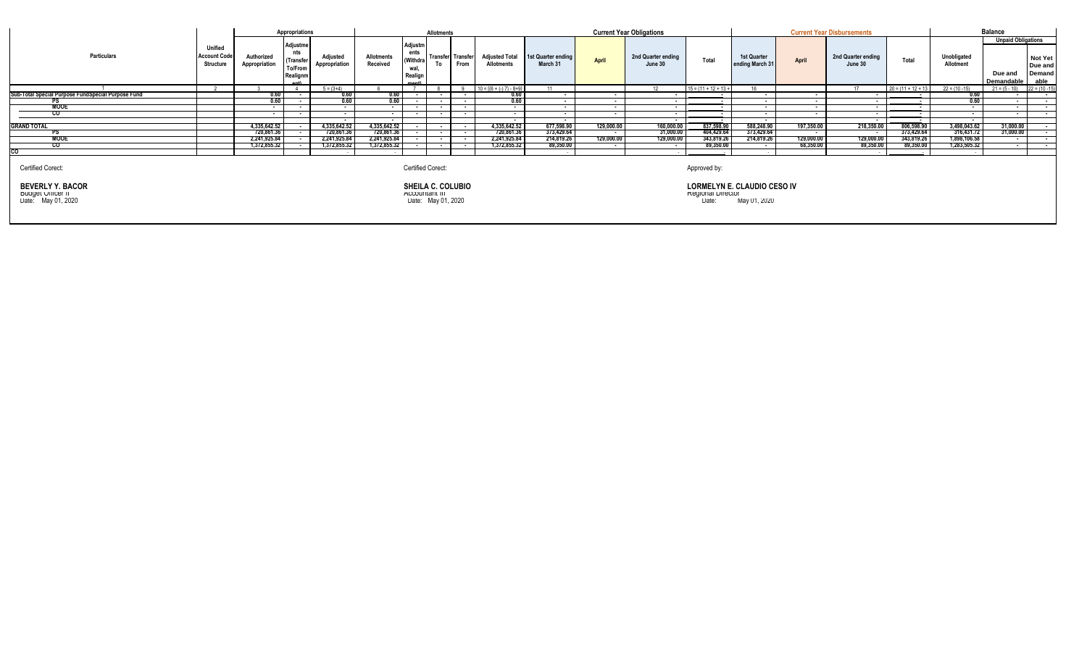|                                                                                         |                                                           |                                                                                       | Appropriations                                      |                           |                               |                                                | Allotments |                                  |                                                      |                                |                                                                                                         | <b>Current Year Obligations</b> |                                           |                                | <b>Current Year Disbursements</b> |                               | <b>Balance</b>        |                          |                                                    |                                             |
|-----------------------------------------------------------------------------------------|-----------------------------------------------------------|---------------------------------------------------------------------------------------|-----------------------------------------------------|---------------------------|-------------------------------|------------------------------------------------|------------|----------------------------------|------------------------------------------------------|--------------------------------|---------------------------------------------------------------------------------------------------------|---------------------------------|-------------------------------------------|--------------------------------|-----------------------------------|-------------------------------|-----------------------|--------------------------|----------------------------------------------------|---------------------------------------------|
| Particulars                                                                             | <b>Unified</b><br><b>Account Code</b><br><b>Structure</b> | Authorized<br>Appropriation                                                           | Adjustme<br>nts<br>(Transfer<br>To/From<br>Realignm | Adjusted<br>Appropriation | <b>Allotments</b><br>Received | Adjustn<br>ents<br>(Withdra<br>wal,<br>Realign | To         | <b>Transfer</b> Transfer<br>From | <b>Adjusted Total</b><br><b>Allotments</b>           | 1st Quarter ending<br>March 31 | <b>April</b>                                                                                            | 2nd Quarter ending<br>June 30   | Total                                     | 1st Quarter<br>ending March 31 | April                             | 2nd Quarter ending<br>June 30 | Total                 | Unobligated<br>Allotment | <b>Unpaid Obligations</b><br>Due and<br>Demandable | <b>Not Yet</b><br>Due and<br>Demand<br>able |
|                                                                                         |                                                           |                                                                                       |                                                     | $5 = (3+4)$               |                               |                                                |            | $\Omega$                         | $10 = \left[\left\{6 + (-) 7\right\} - 8 + 9\right]$ |                                |                                                                                                         | 12 <sup>1</sup>                 | $15 = (11 + 12 + 13 +$                    |                                |                                   | 17                            | $20 = (11 + 12 + 13)$ | $22 = (10 - 15)$         | $21 = (5 - 10)$                                    | $22 = (10 - 15)$                            |
| Sub-Total Special Purpose FundSpecial Purpose Fund                                      |                                                           | 0.60                                                                                  |                                                     | 0.60                      | 0.60                          | $\overline{\phantom{a}}$                       |            |                                  | 0.60                                                 |                                |                                                                                                         |                                 | $\sim$                                    | . .                            |                                   | $\sim$                        |                       | 0.60                     | $\overline{\phantom{a}}$                           |                                             |
|                                                                                         |                                                           | 0.60                                                                                  |                                                     | 0.60                      | 0.60                          |                                                |            |                                  | 0.60                                                 |                                |                                                                                                         |                                 | . .                                       |                                |                                   |                               |                       | 0.60                     | $\overline{\phantom{a}}$                           |                                             |
| <b>MOOE</b>                                                                             |                                                           | $\overline{\phantom{a}}$                                                              |                                                     | $\sim$                    | $\sim$                        | $\sim$                                         |            | $\overline{\phantom{a}}$         |                                                      |                                | . .                                                                                                     |                                 | $\sim$                                    |                                |                                   | $\sim$                        |                       |                          | $\sim$                                             | $\overline{\phantom{a}}$                    |
| CO.                                                                                     |                                                           | $\overline{\phantom{a}}$                                                              |                                                     | . .                       | $\sim$                        |                                                |            |                                  | $\overline{\phantom{a}}$                             | $\overline{\phantom{a}}$       |                                                                                                         | $\overline{\phantom{a}}$        | <b>Service Contract Contract Contract</b> | $\overline{\phantom{a}}$       |                                   | $\sim$                        |                       | . .                      | $\overline{\phantom{a}}$                           |                                             |
|                                                                                         |                                                           |                                                                                       |                                                     | $\overline{\phantom{a}}$  | $\sim$                        |                                                |            |                                  | $\sim$                                               | $\sim$                         |                                                                                                         | . .                             | $\sim$                                    | $\sim$                         |                                   | $\sim$                        |                       | $\overline{\phantom{a}}$ |                                                    |                                             |
| <b>GRAND TOTAL</b>                                                                      |                                                           | 4,335,642.52                                                                          |                                                     | 4,335,642.52              | 4,335,642.52                  |                                                |            | $\sim$                           | 4,335,642.52                                         | 677,598.90                     | 129,000.00                                                                                              | 160,000.00                      | 837,598.90                                | 588,248.90                     | 197,350.00                        | 218,350.00                    | 806,598.90            | 3,498,043.62             | 31,000.00                                          |                                             |
| РS                                                                                      |                                                           | 720,861.36                                                                            |                                                     | 720,861.36                | 720,861.36                    |                                                |            | . .                              | 720,861.36                                           | 373,429.64                     | $\sim$                                                                                                  | 31,000.00                       | 404,429.64                                | 373,429.64                     | $\overline{\phantom{a}}$          |                               | 373,429.64            | 316,431.72               | 31,000.00                                          |                                             |
| MOOE                                                                                    |                                                           | 2,241,925.84                                                                          |                                                     | 2,241,925.84              | 2,241,925.84                  |                                                |            |                                  | 2,241,925.84                                         | 214,819.26                     | 129,000.00                                                                                              | 129,000.00                      | 343,819.26                                | 214,819.26                     | 129,000.00                        | 129,000.00                    | 343,819.26            | 1,898,106.58             |                                                    |                                             |
| <b>CO</b>                                                                               |                                                           | 1,372,855.32                                                                          |                                                     | 1,372,855.32              | 1,372,855.32                  |                                                |            |                                  | 1,372,855.32                                         | 89,350.00                      | . .                                                                                                     | . .                             | 89,350.00                                 |                                | 68,350.00                         | 89,350.00                     | 89,350.00             | 1,283,505.32             | $\sim$                                             | $\sim$                                      |
| CO                                                                                      |                                                           |                                                                                       |                                                     |                           |                               |                                                |            |                                  |                                                      |                                |                                                                                                         |                                 |                                           |                                |                                   |                               |                       |                          |                                                    |                                             |
| Certified Corect:<br><b>BEVERLY Y. BACOR</b><br>Budget Officer II<br>Date: May 01, 2020 |                                                           | Certified Corect:<br><b>SHEILA C. COLUBIO</b><br>ACCOUNTION III<br>Date: May 01, 2020 |                                                     |                           |                               |                                                |            |                                  |                                                      |                                | Approved by:<br><b>LORMELYN E. CLAUDIO CESO IV</b><br><b>Regional Director</b><br>Date:<br>May 01, 2020 |                                 |                                           |                                |                                   |                               |                       |                          |                                                    |                                             |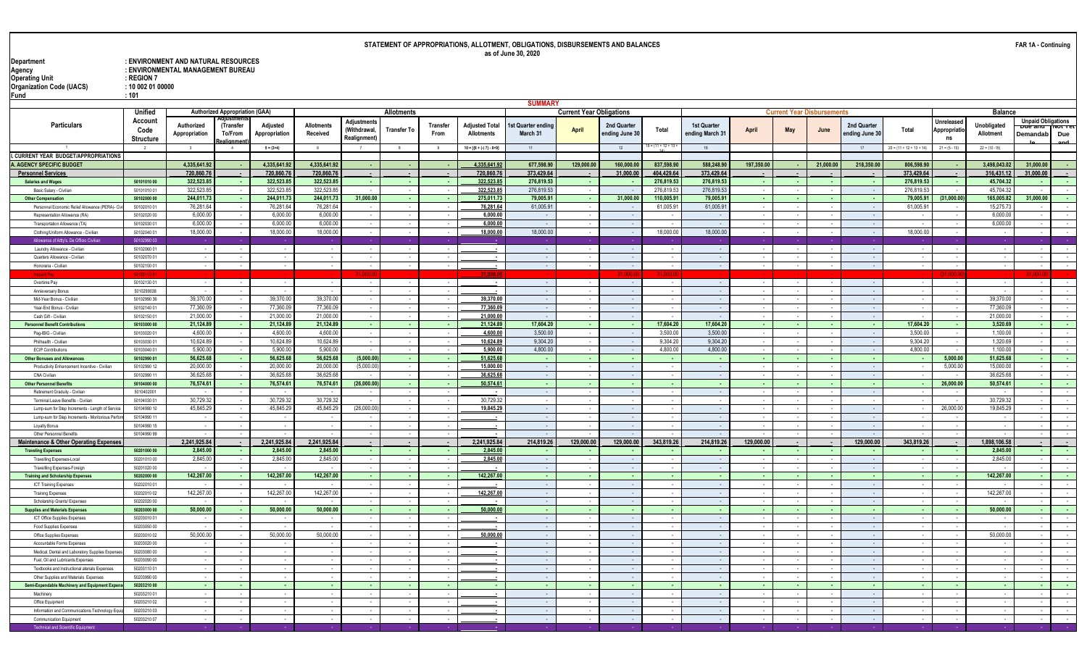## **STATEMENT OF APPROPRIATIONS, ALLOTMENT, OBLIGATIONS, DISBURSEMENTS AND BALANCES as of June 30, 2020**

**Department : ENVIRONMENT AND NATURAL RESOURCES Agency : ENVIRONMENTAL MANAGEMENT BUREAU Operating Unit : REGION 7 Organization Code (UACS) : 10 002 01 00000 Fund : 101**

|                                                               |                                     |                             |                                       |                           |                               |                                                  |                    |                          |                                     | <b>SUMMARY</b>               |                                 |                               |                       |                                |              |             |           |                               |                            |                                  |                          |                                                  |                           |
|---------------------------------------------------------------|-------------------------------------|-----------------------------|---------------------------------------|---------------------------|-------------------------------|--------------------------------------------------|--------------------|--------------------------|-------------------------------------|------------------------------|---------------------------------|-------------------------------|-----------------------|--------------------------------|--------------|-------------|-----------|-------------------------------|----------------------------|----------------------------------|--------------------------|--------------------------------------------------|---------------------------|
|                                                               | Unified                             |                             | <b>Authorized Appropriation (GAA)</b> |                           |                               |                                                  | Allotments         |                          |                                     |                              | <b>Current Year Obligations</b> |                               |                       |                                |              | Current Ye: |           |                               |                            |                                  | <b>Balance</b>           |                                                  |                           |
| Particulars                                                   | Account<br>Code<br><b>Structure</b> | Authorized<br>Appropriation | (Transfer<br>To/From                  | Adjusted<br>Appropriation | <b>Allotments</b><br>Received | <b>Adjustments</b><br>(Withdrawal<br>Realignment | <b>Transfer To</b> | Transfer<br>From         | <b>Adjusted Total</b><br>Allotments | t Quarter ending<br>March 31 | April                           | 2nd Quarter<br>ending June 30 | Total                 | 1st Quarter<br>ending March 31 | <b>April</b> | May         | June      | 2nd Quarter<br>ending June 30 | Total                      | Unreleased<br>Appropriatio<br>ns | Unobligated<br>Allotment | <b>Unpaid Obligations</b><br>Due and<br>Demandab | ινσι τει<br>Due           |
|                                                               |                                     | $\overline{\mathbf{3}}$     | $\overline{4}$                        | $5 = (3+4)$               | $6\overline{6}$               |                                                  |                    |                          | $10 = [{6 + (-7) - 8 + 9}]$         | 11                           |                                 | 12                            | $15 = (11 + 12 + 13)$ | 16                             |              |             |           | 17                            | $20 = (11 + 12 + 13 + 14)$ | $21 = (5 - 10)$                  | $22 = (10 - 15)$         |                                                  |                           |
| . CURRENT YEAR BUDGET/APPROPRIATIONS                          |                                     |                             |                                       |                           |                               |                                                  |                    |                          |                                     |                              |                                 |                               |                       |                                |              |             |           |                               |                            |                                  |                          |                                                  |                           |
| . AGENCY SPECIFIC BUDGET                                      |                                     | 4,335,641.92                |                                       | 4,335,641.92              | 4,335,641.92                  |                                                  |                    |                          | 4,335,641.92                        | 677,598.90                   | 129,000.00                      | 160,000.00                    | 837,598.90            | 588,248.90                     | 197,350.00   |             | 21,000.00 | 218,350.00                    | 806,598.90                 |                                  | 3,498,043.02             | 31,000.00                                        |                           |
| <b>Personnel Services</b>                                     |                                     | 720.860.7                   |                                       | 720,860.76                | 720.860.7                     |                                                  |                    | $\overline{\phantom{a}}$ | 720,860.76                          | 373,429.64                   |                                 | 31.000.0                      | 404.429.64            | 373.429.64                     |              |             |           | $\sim$                        | 373.429.64                 | $\overline{\phantom{a}}$         | 316,431.12               | 31.000.00                                        | $\sim$                    |
| <b>Salaries and Wages</b>                                     | 50101010 00                         | 322,523.8                   |                                       | 322,523.85                | 322,523.8                     |                                                  |                    | - 1                      | 322,523.8                           | 276,819.53                   | - 1                             |                               | 276,819.53            | 276,819.53                     |              |             |           |                               | 276,819.53                 | $\sim$                           | 45,704.32                | $\blacksquare$                                   | $\sim$                    |
| Basic Salary - Civiliar                                       | 5010101001                          | 322,523.8                   |                                       | 322,523.8                 | 322,523.8                     |                                                  |                    |                          | 322,523.85                          | 276,819.5                    |                                 |                               | 276,819.5             | 276,819.5                      |              |             |           | $\sim$                        | 276,819.5                  |                                  | 45,704.32                |                                                  | $\sim$                    |
| <b>Other Compensation</b>                                     | 50102000 00                         | 244,011.7                   |                                       | 244,011.73                | 244,011.7                     | 31,000.00                                        |                    |                          | 275,011.7                           | 79,005.91                    |                                 | 31,000.0                      | 110,005.91            | 79,005.91                      |              |             |           |                               | 79,005.91                  | (31,000.00)                      | 165,005.82               | 31,000.00                                        | $\sim$                    |
| Personnel Economic Relief Allowance (PERA)- Ci                | 50102010 01                         | 76,281.64                   |                                       | 76,281.64                 | 76,281.64                     |                                                  |                    |                          | 76,281.64                           | 61,005.91                    |                                 |                               | 61,005.91             | 61,005.91                      |              |             |           |                               | 61,005.9                   | $\sim$                           | 15,275.73                |                                                  | $\sim$                    |
| Representation Allowance (RA)                                 | 50102020 00                         | 6,000.0                     |                                       | 6,000.0                   | 6,000.0                       |                                                  |                    |                          | 6,000.00                            |                              |                                 |                               |                       |                                |              |             |           |                               |                            | $\sim$                           | 6,000.00                 |                                                  | $\sim$                    |
| Transportation Allowance (TA)                                 | 50102030 01                         | 6,000.0                     |                                       | 6,000.00                  | 6,000.0                       |                                                  |                    |                          | 6,000.0                             |                              |                                 |                               |                       |                                |              |             |           |                               |                            |                                  | 6,000.00                 |                                                  |                           |
| Clothing/Uniform Allowance - Civilian                         | 50102040 01                         | 18,000.00                   |                                       | 18,000.00                 | 18,000.00                     |                                                  |                    |                          | 18,000.00                           | 18,000.00                    |                                 |                               | 18,000.00             | 18,000.00                      |              |             |           |                               | 18,000.00                  |                                  |                          |                                                  |                           |
| Allowance of Attty's. De Officio Civilian                     | 50102990.03                         |                             |                                       |                           |                               |                                                  |                    |                          |                                     |                              |                                 |                               |                       |                                |              |             |           |                               |                            |                                  |                          |                                                  |                           |
| Laundry Allowance - Civilian                                  | 50102060 01                         |                             |                                       |                           | $\sim$                        |                                                  |                    |                          |                                     |                              |                                 |                               | $\sim$                |                                |              |             |           |                               |                            |                                  |                          |                                                  | $\sim$                    |
| Quarters Allowance - Civilian                                 | 50102070 01                         |                             |                                       |                           |                               |                                                  |                    |                          |                                     |                              |                                 |                               |                       |                                |              |             |           |                               |                            |                                  |                          |                                                  | $\sim$                    |
| Honoraria - Civilian                                          | 50102100 01                         |                             |                                       |                           | $\sim$                        |                                                  |                    |                          |                                     |                              |                                 |                               |                       |                                |              |             |           |                               |                            |                                  |                          |                                                  | $\sim$                    |
|                                                               |                                     |                             |                                       |                           |                               |                                                  |                    |                          |                                     |                              |                                 |                               |                       |                                |              |             |           |                               |                            |                                  |                          |                                                  |                           |
| Overtime Pay                                                  | 50102130 01                         |                             |                                       |                           |                               |                                                  |                    |                          |                                     |                              |                                 |                               |                       |                                |              |             |           |                               |                            | $\sim$                           |                          |                                                  |                           |
| Annieversary Bonus                                            | 5010299038                          |                             |                                       |                           |                               |                                                  |                    |                          |                                     |                              |                                 |                               |                       |                                |              |             |           |                               |                            |                                  |                          |                                                  |                           |
| Mid-Year Bonus - Civilian                                     | 5010299036                          | 39,370.00                   |                                       | 39,370.00                 | 39,370.00                     |                                                  |                    |                          | 39,370.00                           |                              |                                 |                               |                       |                                |              |             |           |                               |                            | $\overline{\phantom{a}}$         | 39,370.00                |                                                  | $\overline{a}$            |
| Year-End Bonus - Civilian                                     | 50102140 01                         | 77,360.0<br>21,000.00       |                                       | 77,360.0<br>21,000.00     | 77,360.0<br>21,000.0          |                                                  |                    |                          | 77,360.09<br>21.000.00              |                              |                                 |                               |                       |                                |              |             |           |                               |                            |                                  | 77,360.0<br>21,000.00    |                                                  |                           |
| Cash Gift - Civilian<br><b>Personnel Benefit Contribution</b> | 5010215001<br>50103000 00           | 21,124.89                   |                                       | 21,124.89                 | 21,124.89                     |                                                  |                    | ٠.                       | 21,124.89                           | 17,604.20                    | - 1                             |                               | 17,604.20             | 17,604.20                      |              |             |           | <b>.</b>                      | 17,604.20                  | $\sim$                           | 3,520.69                 |                                                  | <b>Carlos</b>             |
| Pag-IBIG - Civilian                                           | 50103020 01                         | 4,600.0                     |                                       | 4,600.0                   | 4,600.00                      |                                                  |                    |                          | 4,600.00                            | 3,500.0                      |                                 |                               | 3,500.00              | 3,500.00                       |              |             |           |                               | 3,500.0                    |                                  | 1,100.00                 |                                                  |                           |
| Philhealth - Civilian                                         | 5010303001                          | 10.624.89                   |                                       | 10.624.8                  | 10.624.89                     |                                                  |                    |                          | 10,624.89                           | 9.304.2                      |                                 |                               | 9.304.2               | 9.304.20                       |              |             |           |                               | 9.304.2                    |                                  | 1.320.69                 |                                                  | $\overline{a}$            |
| <b>ECIP Contributions</b>                                     | 50103040 01                         | 5.900.0                     |                                       | 5,900.00                  | 5.900.0                       |                                                  |                    |                          | 5,900.00                            | 4,800.0                      |                                 |                               | 4.800.00              | 4,800.00                       |              |             |           |                               | 4.800.0                    |                                  | 1,100.00                 |                                                  | $\sim$                    |
| <b>Other Bonuses and Allowances</b>                           | 50102990 01                         | 56,625.6                    |                                       | 56,625.68                 | 56,625.68                     | (5,000.00)                                       |                    | ٠.                       | 51,625.68                           |                              |                                 |                               | $\sim$                |                                |              |             |           |                               |                            | 5,000.00                         | 51,625.68                |                                                  | $\sim$                    |
| Productivity Enhancement Incentive - Civilian                 | 50102990 12                         | 20,000.0                    |                                       | 20,000.0                  | 20,000.00                     | (5,000.00)                                       |                    |                          | 15,000.0                            |                              |                                 |                               |                       |                                |              |             |           |                               |                            | 5,000.00                         | 15,000.00                |                                                  |                           |
| CNA Civilian                                                  | 50102990 11                         | 36,625.6                    |                                       | 36,625.6                  | 36,625.6                      |                                                  |                    |                          | 36,625.6                            |                              |                                 |                               |                       |                                |              |             |           |                               |                            |                                  | 36,625.68                |                                                  | $\sim$                    |
| <b>Other Personnel Benefits</b>                               | 50104000 00                         | 76,574.61                   |                                       | 76,574.61                 | 76,574.61                     | (26,000.00)                                      |                    |                          | 50,574.61                           |                              |                                 |                               | $\sim$                |                                |              |             |           |                               |                            | 26,000.00                        | 50,574.61                |                                                  | <b>Carlos</b>             |
| Retirement Graduity - Civilian                                | 5010402001                          |                             |                                       |                           |                               |                                                  |                    |                          |                                     |                              |                                 |                               | $\sim$                |                                |              |             |           | $\sim$                        |                            |                                  |                          |                                                  | $\sim$                    |
| Terminal Leave Benefits - Civilian                            | 50104030 01                         | 30,729.3                    |                                       | 30,729.32                 | 30,729.32                     |                                                  |                    |                          | 30,729.32                           |                              |                                 |                               |                       |                                |              |             |           |                               |                            |                                  | 30,729.32                |                                                  |                           |
| Lump-sum for Step Increments - Length of Servic               | 50104990 10                         | 45,845.29                   |                                       | 45,845.29                 | 45,845.29                     | (26,000.00)                                      |                    |                          | 19,845.29                           |                              |                                 |                               | $\sim$                |                                |              |             |           |                               |                            | 26,000.00                        | 19,845.29                |                                                  | $\sim$                    |
| Lump-sum for Step Increments - Moritorious Perfo              | 50104990 11                         |                             |                                       |                           |                               |                                                  |                    |                          |                                     |                              |                                 |                               |                       |                                |              |             |           |                               |                            |                                  |                          |                                                  | $\sim$                    |
| Loyalty Bonus                                                 | 50104990 15                         |                             |                                       |                           | и,                            |                                                  |                    |                          |                                     |                              |                                 |                               |                       |                                |              |             |           |                               |                            | $\sim$                           |                          |                                                  | $\sim$                    |
| Other Personnel Benefits                                      | 50104990 99                         |                             |                                       |                           |                               |                                                  |                    |                          |                                     |                              |                                 |                               |                       |                                |              |             |           |                               |                            |                                  |                          |                                                  | $\sim$                    |
| <b>Maintenance &amp; Other Operating Expense</b>              |                                     | 2,241,925.8<br>2.845.00     |                                       | 2,241,925.8<br>2.845.0    | 2,241,925.84                  |                                                  |                    |                          | 2,241,925.84                        | 214,819.2                    | 129,000.0                       | 129,000.0                     | 343,819.26            | 214,819.26                     | 129,000.0    |             |           | 129,000.0                     | 343,819.26                 |                                  | 898,106.58               |                                                  | $\sim$                    |
| <b>Traveling Expenses</b><br>Travelling Expenses-Local        | 50201000 00<br>5020101000           | 2,845.0                     |                                       | 2,845.00                  | 2,845.00<br>2,845.00          |                                                  |                    |                          | 2,845.00<br>2,845.00                |                              |                                 |                               | $\sim$<br>$\sim$      |                                |              |             |           | $\sim$                        |                            | $\blacksquare$<br>$\sim$         | 2,845.00<br>2,845.00     | $\sim$                                           | <b>Contract</b><br>$\sim$ |
| Travellling Expenses-Foreign                                  | 50201020 00                         |                             |                                       |                           |                               |                                                  |                    |                          |                                     |                              |                                 |                               |                       |                                |              |             |           |                               |                            |                                  |                          |                                                  | $\sim$                    |
| <b>Training and Scholarship Expenses</b>                      | 50202000 00                         | 142,267.00                  |                                       | 142,267.00                | 142,267.00                    |                                                  |                    |                          | 142,267.00                          |                              |                                 |                               | $\sim$                |                                |              |             |           |                               |                            | $\sim$                           | 142,267.00               |                                                  | $\sim$                    |
| ICT Training Expenses                                         | 5020201001                          |                             |                                       |                           |                               |                                                  |                    |                          |                                     |                              |                                 |                               |                       |                                |              |             |           |                               |                            |                                  |                          |                                                  | $\sim$                    |
| <b>Training Expenses</b>                                      | 50202010 02                         | 142,267.00                  |                                       | 142,267.00                | 142,267.00                    |                                                  |                    |                          | 142,267.00                          |                              |                                 |                               |                       |                                |              |             |           |                               |                            |                                  | 142,267.00               |                                                  |                           |
| Scholarship Grants/ Expenses                                  | 50202020 00                         |                             |                                       |                           |                               |                                                  |                    |                          |                                     |                              |                                 |                               |                       |                                |              |             |           |                               |                            |                                  |                          |                                                  | $\sim$                    |
| <b>Supplies and Materials Expenses</b>                        | 50203000 00                         | 50,000.00                   |                                       | 50,000.00                 | 50,000.00                     |                                                  |                    |                          | 50,000.00                           |                              |                                 |                               |                       |                                |              |             |           |                               |                            |                                  | 50,000.00                |                                                  | $\sim$                    |
| <b>ICT Office Supplies Expenses</b>                           | 50203010.01                         |                             |                                       |                           |                               |                                                  |                    |                          |                                     |                              |                                 |                               |                       |                                |              |             |           |                               |                            |                                  |                          |                                                  | $\sim$                    |
| Food Supplies Expenses                                        | 50203050 00                         |                             |                                       |                           |                               |                                                  |                    |                          |                                     |                              |                                 |                               |                       |                                |              |             |           |                               |                            |                                  |                          |                                                  |                           |
| Office Supplies Expenses                                      | 50203010 02                         | 50,000.00                   |                                       | 50,000.00                 | 50,000.00                     |                                                  |                    |                          | 50,000.00                           |                              |                                 |                               |                       |                                |              |             |           |                               |                            |                                  | 50,000.00                |                                                  |                           |
| Accountable Forms Expenses                                    | 50203020 00                         |                             |                                       |                           |                               |                                                  |                    |                          |                                     |                              |                                 |                               |                       |                                |              |             |           |                               |                            |                                  |                          |                                                  | $\sim$                    |
| Medical, Dental and Laboratory Supplies Expen                 | 50203080 00                         |                             |                                       |                           |                               |                                                  |                    |                          |                                     |                              |                                 |                               |                       |                                |              |             |           |                               |                            |                                  |                          |                                                  | $\sim$                    |
| Fuel, Oil and Lubricants Expenses                             | 50203090 00                         |                             |                                       |                           |                               |                                                  |                    |                          |                                     |                              |                                 |                               |                       |                                |              |             |           |                               |                            |                                  |                          |                                                  | $\sim$                    |
| Textbooks and Instructional aterials Expenses                 | 5020311001                          |                             |                                       |                           |                               |                                                  |                    |                          |                                     |                              |                                 |                               |                       |                                |              |             |           |                               |                            |                                  |                          |                                                  | $\sim$                    |
| Other Supplies and Materials Expenses                         | 50203990 00                         |                             |                                       |                           |                               |                                                  |                    |                          |                                     |                              |                                 |                               |                       |                                |              |             |           |                               |                            |                                  |                          |                                                  | $\sim$                    |
| Semi-Expendable Machinery and Equipment Expe                  | 5020321000<br>5020321001            |                             |                                       |                           |                               |                                                  |                    |                          |                                     |                              |                                 |                               | $\sim$                |                                |              |             |           |                               |                            |                                  |                          |                                                  | $\sim 100$                |
| Machinery<br>Office Equipment                                 | 50203210 02                         |                             |                                       |                           |                               |                                                  |                    |                          |                                     |                              |                                 |                               |                       |                                |              |             |           |                               |                            |                                  |                          |                                                  |                           |
| Information and Communications Technology Ed                  | 50203210 03                         |                             |                                       |                           |                               |                                                  |                    |                          |                                     |                              |                                 |                               |                       |                                |              |             |           |                               |                            |                                  |                          |                                                  |                           |
| <b>Communication Equipment</b>                                | 50203210 07                         |                             |                                       |                           |                               |                                                  |                    |                          |                                     |                              |                                 |                               |                       |                                |              |             |           |                               |                            |                                  |                          |                                                  |                           |
| <b>Technical and Scientific Equipment</b>                     |                                     |                             |                                       |                           |                               |                                                  |                    |                          |                                     |                              |                                 |                               |                       |                                |              |             |           |                               |                            |                                  |                          |                                                  |                           |

**FAR 1A - Continuing**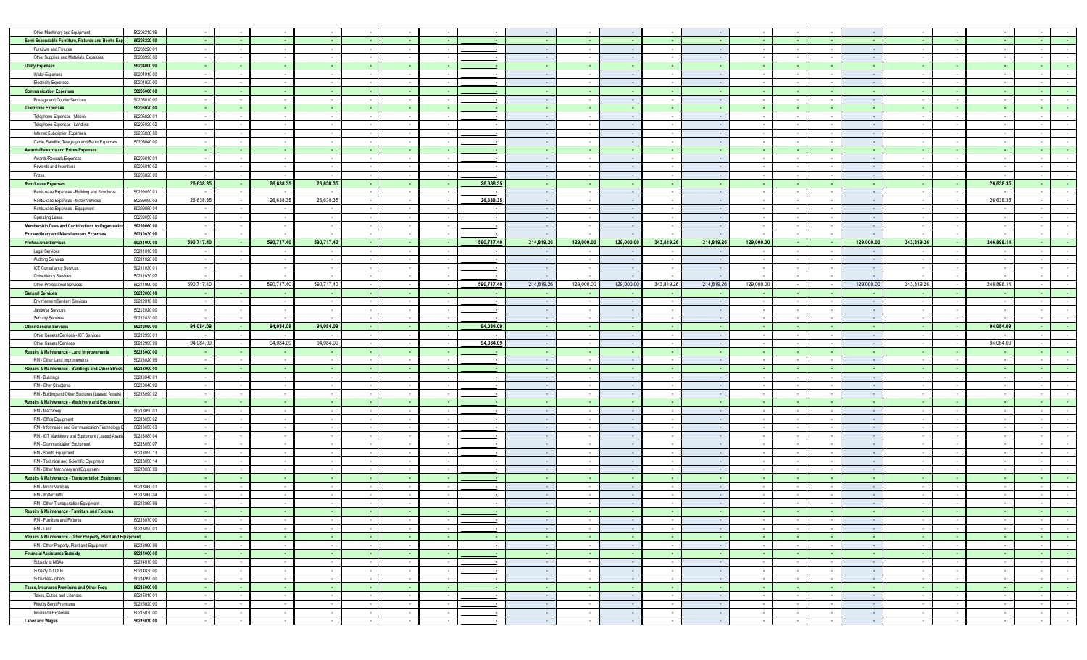| Other Machinery and Equipment                               | 5020321099                 |                |                  |                          |                  |                          |                          |                |                          |                         |               |                         |                          |                  |                  |                  |                  |                  |                          |                  |                  |                      |                                                                                 |
|-------------------------------------------------------------|----------------------------|----------------|------------------|--------------------------|------------------|--------------------------|--------------------------|----------------|--------------------------|-------------------------|---------------|-------------------------|--------------------------|------------------|------------------|------------------|------------------|------------------|--------------------------|------------------|------------------|----------------------|---------------------------------------------------------------------------------|
| Semi-Expendable Furniture, Fixtures and Books Exp           | 50203220 00                |                |                  |                          |                  |                          |                          |                |                          |                         |               |                         |                          |                  |                  |                  |                  |                  |                          |                  |                  |                      |                                                                                 |
| Furniture and Fixtures                                      | 50203220 01                |                |                  |                          |                  |                          |                          |                |                          |                         |               |                         |                          |                  |                  |                  |                  |                  |                          |                  |                  |                      |                                                                                 |
| Other Supplies and Materials Expenses                       | 50203990 00                |                |                  |                          |                  | $\sim$                   | $\sim$                   |                | $\sim$                   |                         |               |                         | $\sim$                   |                  |                  |                  |                  | $\sim$           |                          | $\sim$           |                  |                      |                                                                                 |
| <b>Utility Expenses</b>                                     | 50204000 00                |                |                  |                          |                  |                          |                          |                |                          |                         |               |                         | ٠.                       |                  |                  |                  |                  |                  |                          |                  |                  |                      |                                                                                 |
| Water Expenses                                              | 50204010 00                |                |                  |                          |                  |                          |                          |                |                          |                         |               |                         |                          |                  |                  |                  |                  |                  |                          |                  |                  |                      |                                                                                 |
| <b>Electricity Expenses</b>                                 | 50204020 00                |                |                  |                          |                  |                          |                          |                | $\sim$                   |                         |               |                         | ٠.                       |                  |                  |                  |                  |                  |                          |                  |                  |                      |                                                                                 |
| <b>Communication Expenses</b>                               | 50205000 00                |                |                  |                          |                  |                          |                          |                |                          |                         |               |                         |                          |                  |                  |                  |                  |                  |                          |                  |                  |                      |                                                                                 |
| Postage and Courier Services                                | 50205010 00                |                |                  |                          |                  |                          | $\sim$                   |                | $\sim$                   |                         |               |                         | $\sim$                   |                  |                  |                  |                  |                  |                          | $\sim$           |                  |                      |                                                                                 |
| <b>Telephone Expenses</b>                                   | 50205020 00                |                | $\sim$           | ۰.                       |                  | ۰.                       |                          |                |                          |                         |               |                         | $\sim$                   |                  |                  |                  |                  |                  |                          | $\sim$           |                  | $\sim$               |                                                                                 |
|                                                             |                            |                |                  |                          |                  |                          |                          |                | $\sim$                   |                         |               |                         | $\sim$                   |                  |                  |                  |                  | $\sim$           |                          | $\sim$           |                  | $\sim$               |                                                                                 |
| Telephone Expenses - Mobile                                 | 50205020 01                |                |                  |                          |                  |                          |                          |                | $\sim$                   |                         |               |                         |                          |                  |                  |                  |                  |                  |                          |                  |                  |                      |                                                                                 |
| Telephone Expenses - Landline                               | 50205020 02                |                |                  |                          |                  |                          |                          |                |                          |                         |               |                         |                          |                  |                  |                  |                  |                  |                          |                  |                  |                      |                                                                                 |
| Internet Subcription Expenses                               | 50205030 00                |                |                  |                          |                  |                          |                          |                |                          |                         |               |                         |                          |                  |                  |                  |                  |                  |                          |                  |                  |                      |                                                                                 |
| Cable, Satellite, Telegraph and Radio Expenses              | 50205040 00                |                |                  | $\sim$                   |                  |                          | $\sim$                   |                | $\sim$                   |                         |               |                         | $\sim$                   |                  |                  |                  |                  | $\sim$           |                          | $\sim$           |                  |                      |                                                                                 |
| <b>Awards/Rewards and Prizes Expenses</b>                   |                            |                |                  | $\sim$                   |                  | $\sim$                   |                          |                |                          |                         |               |                         | $\sim$                   |                  |                  |                  |                  | . .              |                          | $\sim$           |                  | $\sim$               | <b>.</b>                                                                        |
| Awards/Rewards Expenses                                     | 50206010 01                |                |                  |                          |                  |                          |                          |                | $\sim$                   |                         |               |                         |                          |                  |                  |                  |                  |                  |                          | $\sim$           |                  |                      |                                                                                 |
| Rewards and Incentives                                      | 5020601002                 |                |                  | $\overline{\phantom{a}}$ |                  |                          |                          |                | $\sim$                   |                         |               |                         | $\sim$                   |                  |                  |                  |                  | $\sim$           |                          | $\sim$           |                  |                      |                                                                                 |
| Prizes                                                      | 50206020 00                |                |                  |                          |                  |                          |                          |                |                          |                         |               |                         |                          |                  |                  |                  |                  |                  |                          |                  |                  |                      |                                                                                 |
| <b>Rent/Lease Expenses</b>                                  |                            | 26,638.35      | - 1              | 26,638.35                | 26,638.35        | - 1                      | $\sim$                   | $\sim$         | 26,638.35                |                         |               |                         | ۰.                       |                  |                  |                  |                  | - 1              | . .                      | - 1              | 26,638.35        | $\sim$               |                                                                                 |
| Rent/Lease Expenses - Building and Structures               | 50299050 01                |                |                  |                          |                  |                          |                          |                |                          |                         |               |                         | $\sim$                   |                  |                  |                  |                  |                  |                          |                  |                  |                      |                                                                                 |
| Rent/Lease Expenses - Motor Vehicles                        | 50299050 03                | 26,638.35      |                  | 26,638.35                | 26,638.3         |                          | $\sim$                   |                | 26,638.35                |                         |               |                         | $\sim$                   |                  |                  |                  |                  | $\sim$           |                          | $\sim$           | 26,638.35        | $\sim$               |                                                                                 |
| Rent/Lease Expenses - Equipment                             | 50299050 04                |                |                  |                          |                  |                          |                          |                | $\sim$                   |                         |               |                         |                          |                  |                  |                  |                  |                  |                          |                  |                  |                      |                                                                                 |
| Operating Lease                                             | 50299050 06                |                |                  |                          |                  |                          |                          |                |                          |                         |               |                         |                          |                  |                  |                  |                  |                  |                          |                  |                  |                      |                                                                                 |
| Membership Dues and Contributions to Organizatio            | 50299060 00                |                | $\sim$           | $\sim$                   |                  | $\sim$                   | $\sim$                   |                | $\sim$                   |                         | $\sim$        |                         | $\sim$                   |                  |                  |                  |                  | $\sim$           |                          | $\sim$           |                  | $\sim$               |                                                                                 |
| <b>Extraordinary and Miscellaneous Expenses</b>             | 50210030 00                |                |                  |                          |                  |                          |                          |                |                          |                         |               |                         |                          |                  |                  |                  |                  |                  |                          |                  |                  | $\sim$               |                                                                                 |
| <b>Professional Services</b>                                | 50211000 00                | 590,717.40     | <b>College</b>   | 590,717.40               | 590,717.40       | ۰.                       | $\sim$                   |                | 590,717.40               | 214,819.26              | 129,000.00    | 129,000.00              | 343,819.26               | 214,819.26       | 129,000.00       |                  |                  | 129,000.00       | 343,819.26               | - 40             | 246,898.14       | <b>COL</b>           |                                                                                 |
| Legal Services                                              | 5021101000                 |                |                  |                          |                  |                          |                          |                | $\sim$                   |                         |               |                         |                          |                  |                  |                  |                  |                  |                          | $\sim$           |                  |                      |                                                                                 |
| <b>Auditing Services</b>                                    | 50211020 00                |                |                  |                          |                  |                          |                          |                |                          |                         |               |                         |                          |                  |                  |                  |                  |                  |                          | $\sim$           |                  |                      |                                                                                 |
| ICT Consultancy Services                                    | 50211030 01                |                |                  | $\sim$                   |                  |                          | $\sim$                   |                | $\sim$                   |                         |               |                         | $\sim$                   |                  |                  |                  |                  | $\sim$           |                          | $\sim$           |                  |                      |                                                                                 |
| <b>Consultancy Services</b>                                 | 50211030 02                |                |                  |                          |                  |                          |                          |                |                          |                         |               |                         |                          |                  |                  |                  |                  |                  |                          |                  |                  |                      |                                                                                 |
| Other Professional Services                                 | 50211990 00                | 590,717.40     |                  | 590,717.40               | 590,717.4        | $\sim$                   | $\sim$                   |                | 590,717.40               | 214,819.26              | 129,000.00    | 129,000.00              | 343,819.26               | 214,819.26       | 129,000.00       |                  |                  | 129,000.00       | 343,819.26               | $\sim$           | 246,898.14       |                      |                                                                                 |
|                                                             | 50212000 00                |                |                  | $\sim$                   |                  | $\sim$                   |                          |                |                          |                         |               |                         | ٠.                       |                  |                  |                  |                  |                  |                          | $\sim$           |                  | . .                  | . .                                                                             |
| <b>General Services</b>                                     |                            |                |                  |                          |                  |                          |                          |                |                          |                         |               |                         |                          |                  |                  |                  |                  |                  |                          |                  |                  |                      |                                                                                 |
| Environment/Sanitary Services                               | 5021201000                 |                |                  |                          |                  |                          |                          |                |                          |                         |               |                         |                          |                  |                  |                  |                  |                  |                          |                  |                  |                      |                                                                                 |
| Janitorial Services                                         | 50212020 00                |                | $\sim$           | $\sim$                   | $\sim$           | $\sim$                   | $\sim$                   |                | $\blacksquare$           |                         | $\sim$        |                         | $\sim$                   |                  | $\sim$           |                  |                  | $\sim$           |                          | $\sim$           |                  | $\sim$               |                                                                                 |
| <b>Security Services</b>                                    | 50212030 00                |                |                  | $\sim$                   |                  |                          |                          |                |                          |                         |               |                         | $\sim$                   |                  |                  |                  |                  | $\sim$           |                          | $\sim$           |                  | $\sim$               |                                                                                 |
|                                                             |                            |                |                  |                          |                  |                          |                          |                |                          |                         |               |                         |                          |                  |                  |                  |                  |                  |                          |                  |                  |                      |                                                                                 |
| <b>Other General Services</b>                               | 50212990 00                | 94,084.09      | - 11             | 94,084.09                | 94,084.09        | ۰.                       | $\sim$                   |                | 94,084.0                 |                         |               |                         | . .                      |                  |                  |                  |                  | - 1              | $\sim$                   | - 1              | 94,084.09        | $\sim$               |                                                                                 |
| Other General Services - ICT Services                       | 50212990 01                |                |                  |                          |                  | $\overline{\phantom{a}}$ |                          |                | $\sim$                   |                         |               |                         | $\sim$                   |                  |                  |                  |                  | $\sim$           |                          | $\sim$           |                  | $\sim$               |                                                                                 |
| Other General Services                                      | 5021299099                 | 94,084.09      |                  | 94,084.09                | 94,084.0         |                          |                          |                | 94,084.09                |                         |               |                         |                          |                  |                  |                  |                  |                  |                          |                  | 94,084.09        |                      |                                                                                 |
| <b>Repairs &amp; Maintenance - Land Improvements</b>        | 50213000 00                |                | - 1              | - 1                      | - 4              | <b>.</b>                 | $\sim$                   | $\blacksquare$ | $\sim$                   | ٠.                      | ٠.            |                         | <b>College</b>           |                  | $\sim$           | - 1              |                  | - 1              | ۰.                       | - 1              | - 1              | $\sim$               |                                                                                 |
| RM - Other Land Improvements                                | 50213020 99                |                | $\sim$           | $\sim$                   |                  | $\sim$                   |                          |                | $\overline{\phantom{a}}$ |                         |               |                         | $\sim$                   |                  |                  |                  |                  | $\sim$           |                          | $\sim$           |                  |                      |                                                                                 |
| Repairs & Maintenance - Buildings and Other Struct          | 50213000 00                |                | <b>College</b>   | <b>.</b>                 | . .              | <b>COL</b>               | <b>COL</b>               | <b>.</b>       | <b>.</b>                 |                         | - 1           |                         | <b>College</b>           |                  |                  | - 1              |                  | - 1              |                          | - 11             |                  | - 10                 | - 11                                                                            |
| RM - Buildings                                              | 50213040 01                |                |                  |                          |                  |                          |                          |                | $\overline{\phantom{a}}$ |                         |               |                         |                          |                  |                  |                  |                  |                  |                          |                  |                  |                      |                                                                                 |
| RM - Oher Structures                                        | 50213040 99                |                |                  |                          |                  |                          |                          |                | $\blacksquare$           |                         |               |                         |                          |                  |                  |                  |                  |                  |                          |                  |                  |                      |                                                                                 |
| RM - Buiding and Other Stuctures (Leased Assets             | 50213090 02                |                |                  | $\sim$                   | $\sim$           | $\sim$                   | $\sim$                   |                | $\sim$                   | - -                     | $\sim$        | $\sim$                  | $\sim$                   |                  | $\sim$           | $\sim$           |                  | $\sim$ $-$       |                          | $\sim$           |                  | $\sim$               | $\sim$                                                                          |
| Repairs & Maintenance - Machinery and Equipment             |                            |                | $\sim$           | <b>COL</b>               | . .              | - 1                      | $\sim$                   | $\sim$         | $\sim$                   | ٠.                      | . .           |                         | $\sim$                   |                  | $\sim$           | . .              |                  | - 1              | . .                      | - 1              | . .              | <b>Contract</b>      | - 1                                                                             |
| RM - Machinery                                              | 50213050 01                |                |                  |                          |                  | $\overline{a}$           |                          |                | $\overline{\phantom{a}}$ |                         |               |                         | ٠.                       |                  |                  |                  |                  | $\sim$           |                          | $\sim$           |                  | $\sim$               | $\sim$                                                                          |
| RM - Office Equipment                                       | 50213050 02                |                |                  |                          |                  | $\overline{\phantom{a}}$ |                          |                | $\sim$                   |                         |               |                         | $\sim$                   |                  |                  |                  |                  | $\sim$           |                          | $\sim$           |                  |                      |                                                                                 |
| RM - Information and Communication Technology               | 50213050 03                |                |                  |                          |                  |                          |                          |                |                          |                         |               |                         |                          |                  |                  |                  |                  |                  |                          |                  |                  |                      |                                                                                 |
| RM - ICT Machinery and Equipment (Leased Asse               | 50213080 04                |                |                  |                          |                  | $\sim$                   | $\sim$                   |                | $\sim$                   |                         |               |                         | $\overline{\phantom{a}}$ |                  |                  |                  |                  | $\sim$           |                          | $\sim$           |                  |                      |                                                                                 |
| RM - Communication Equipment                                | 50213050 07                |                |                  |                          |                  |                          |                          |                | $\overline{\phantom{a}}$ |                         |               |                         | $\sim$                   |                  |                  |                  |                  | $\sim$           |                          | $\sim$           |                  |                      |                                                                                 |
| RM - Sports Equipment                                       | 50213050 13                |                | $\sim$           |                          |                  | $\sim$                   | $\sim$                   |                | $\sim$                   |                         |               |                         | $\sim$                   |                  |                  |                  |                  | $\sim$           |                          | $\sim$           |                  | $\sim$               | $\sim$                                                                          |
| RM - Technical and Scientific Equipment                     | 50213050 14                |                |                  |                          |                  |                          |                          |                | $\sim$                   |                         |               |                         |                          |                  |                  |                  |                  |                  |                          |                  |                  |                      |                                                                                 |
| RM - Other Machinery and Equipment                          | 5021305099                 |                |                  |                          |                  |                          |                          |                |                          |                         |               |                         |                          |                  |                  |                  |                  |                  |                          |                  |                  |                      |                                                                                 |
|                                                             |                            |                | <b>Contract</b>  | <b>Contract</b>          | - 4              | $\sim$                   | - 1                      | - 1            | $\sim$                   | - 1                     | - 4           | - 4                     | <b>Contract</b>          |                  | - 1              | - 10             | - 1              | - 1              |                          | <b>Contract</b>  | - -              | $\sim 10^{-1}$       | - 1                                                                             |
| Repairs & Maintenance - Transportation Equipment            | 50213060 01                |                |                  |                          |                  |                          |                          |                | $\blacksquare$           |                         |               |                         |                          |                  |                  |                  |                  |                  |                          |                  |                  |                      |                                                                                 |
| RM - Motor Vehicles                                         |                            |                |                  |                          |                  |                          |                          |                |                          |                         |               |                         |                          |                  |                  |                  |                  |                  |                          | $\sim$           |                  |                      |                                                                                 |
| RM - Watercrafts                                            | 50213060 04                |                |                  |                          |                  |                          |                          |                |                          |                         |               |                         |                          |                  |                  |                  |                  |                  |                          |                  |                  |                      |                                                                                 |
| RM - Other Transportation Equipment                         | 5021306099                 |                |                  |                          |                  |                          |                          |                |                          |                         |               |                         |                          |                  |                  |                  |                  |                  |                          |                  |                  |                      |                                                                                 |
| Repairs & Maintenance - Furniture and Fixtures              |                            |                | $\sim$           |                          | $\sim$           |                          | $\sim$                   |                |                          | $\sim$ $\sim$           | $\sim$        | - 1                     |                          |                  | $\sim$           | $\sim$           | $\sim$           | $\sim$           | $\overline{\phantom{a}}$ |                  | $\sim$           | $\sim$               |                                                                                 |
| RM - Furniture and Fixtures                                 | 50213070 00                |                |                  | $\sim$ $-$               |                  | $\sim$                   |                          | $\sim$         | $\sim$                   |                         |               |                         | $\sim$                   |                  |                  |                  | $\sim$           |                  | $\overline{\phantom{a}}$ | $\sim$ $\sim$    |                  |                      | $\sim$                                                                          |
| RM - Land                                                   | 50213090 01                |                | $\sim$           | $\sim$                   | $\sim$           | $\sim$                   | $\sim$                   |                | $\sim$                   | $\sim$ 100 $\pm$        | $\sim$        | $\sim$ $\sim$           | $\sim$ $-$               | $\sim$           | $\sim$           | $\sim$           |                  | $\sim$           |                          | $\sim$           | $\sim$           | $\sim$ $-$           | $\sim 10^{-1}$                                                                  |
| Repairs & Maintenance - Other Property, Plant and Equipment |                            | <b>College</b> | $\sim$           | $\sim$                   | - 4              | $\sim$                   | <b>COL</b>               | $\sim$         | <b>College</b>           | - 41                    | - 4           | - 4                     | $\sim$                   | ۰.               | $\sim$           | $\sim 10^{-1}$   | <b>College</b>   | <b>College</b>   | <b>COL</b>               | <b>Card</b>      | - 40             | $\sim 10^{-1}$       |                                                                                 |
| RM - Other Property, Plant and Equipment                    | 50213990 99                |                |                  | $\sim$                   |                  |                          |                          |                | $\sim$                   |                         |               |                         | $\sim$                   |                  |                  |                  |                  |                  |                          | $\sim$           |                  | $\sim$               | $\sim$                                                                          |
| <b>Financial Assistance/Subsidy</b>                         | 50214000 00                |                | $\sim$           | $\sim$                   | - 1              | $\sim$                   | $\sim$                   |                | $\sim$                   | ٠.                      |               |                         | $\sim$                   |                  | $\sim$           | - 1              | ۰.               | - 1              |                          | - 1              | - 1              | $\sim$ $-$           | $\sim$ $\sim$                                                                   |
| Subsidy to NGAs                                             | 5021401000                 | $\sim$ $-$     | $\sim 100$       | $\sim 10^{-1}$           | $\sim$ $-$       | $\sim$                   | $\sim$                   | $\sim$         | $\sim$                   | $\sim$ $\sim$           | $\sim$ $-$    | $\sim$ $-$              | $\sim 100$               | $\sim$ $\sim$    | $\sim$ $-$       | $\sim$ 100 $\pm$ | $\sim$           | $\sim 100$       | $\sim$                   | $\sim 100$       | $\sim$ $-$       | $\sim 10^{-1}$       |                                                                                 |
| Subsidy to LGUs                                             | 50214030 00                |                | $\sim$           | $\sim$                   | . .              | $\sim$                   | $\sim$                   |                | $\sim$                   | $\sim$ $\sim$           |               | $\sim$ $\sim$           | $\sim$                   | $\sim$           | $\sim$           | $\sim$           | $\sim$           | $\sim$ $\sim$    | $\sim$                   | $\sim$           | - 14             | $\sim$ $-$           | $\sim$                                                                          |
| Subsidies - others                                          | 50214990 00                | $\sim$         | $\sim$           | $\sim$                   | $\sim$           | $\sim$                   | $\sim$                   |                | $\sim$                   | $\sim$ $\sim$           | $\sim$        | $\sim$ $\sim$           | $\sim$                   | $\sim$           | $\sim$           | $\sim$           | $\sim$           | $\sim 10^{-1}$   | $\sim$                   | $\sim$           | $\sim$           | $\sim$               | $\sim$ $\sim$                                                                   |
| Taxes, Insurance Premiums and Other Fees                    | 50215000 00                | $\sim$         | $\sim$           | $\sim$                   | - 1              | <b>.</b>                 | $\sim$                   | $\sim$         | $\sim$                   | - 1                     | - 1           | - 1                     | - 1                      | <b>.</b>         | $\sim$           | - 1              | ۰.               | - 1              | $\sim$                   | - 1              | - 1              | $\sim 100$           |                                                                                 |
| Taxes, Duties and Licenses                                  | 5021501001                 |                |                  | $\sim$                   |                  | $\sim$                   |                          |                | $\sim$                   |                         |               |                         | $\sim$                   |                  |                  |                  |                  | $\sim$           |                          | $\sim$           |                  | $\sim$               | $\sim$                                                                          |
| <b>Fidelity Bond Premiums</b>                               | 50215020 00                | $\sim$         | $\sim$           | $\sim$                   | $\sim$           | $\sim$                   | $\sim$                   |                | $\sim$                   | $\sim$ $\sim$           | $\sim$        | $\sim$ $\sim$           | $\sim$ $-$               | $\sim$           | $\sim$           | $\sim$           | $\sim$           | $\sim$           | $\sim$                   | $\sim$ $-$       | $\sim$           | $\sim$ $-$           | $\sim 10^{-1}$                                                                  |
| Insurance Expenses<br><b>Labor and Wages</b>                | 50215030 00<br>50216010 00 | $\sim$         | $\sim$<br>$\sim$ | $\sim$<br>$\sim$         | $\sim$<br>$\sim$ | $\sim$<br>$\sim$         | $\sim$<br>$\sim 10^{-1}$ | $\sim$         | $\sim$<br>$\sim$         | $\sim$ $\sim$<br>$\sim$ | . .<br>$\sim$ | $\sim$ $\sim$<br>$\sim$ | $\sim$<br>$\sim$         | $\sim$<br>$\sim$ | $\sim$<br>$\sim$ | $\sim$<br>$\sim$ | $\sim$<br>$\sim$ | $\sim$<br>$\sim$ | $\sim$<br>$\sim$         | $\sim$<br>$\sim$ | $\sim$<br>$\sim$ | $\sim$<br>$\sim$ $-$ | $\sim 10^{-1}$<br>$\sim 10^{-1}$<br><b>Contract</b><br>$\sim$<br>$\sim 10^{-1}$ |